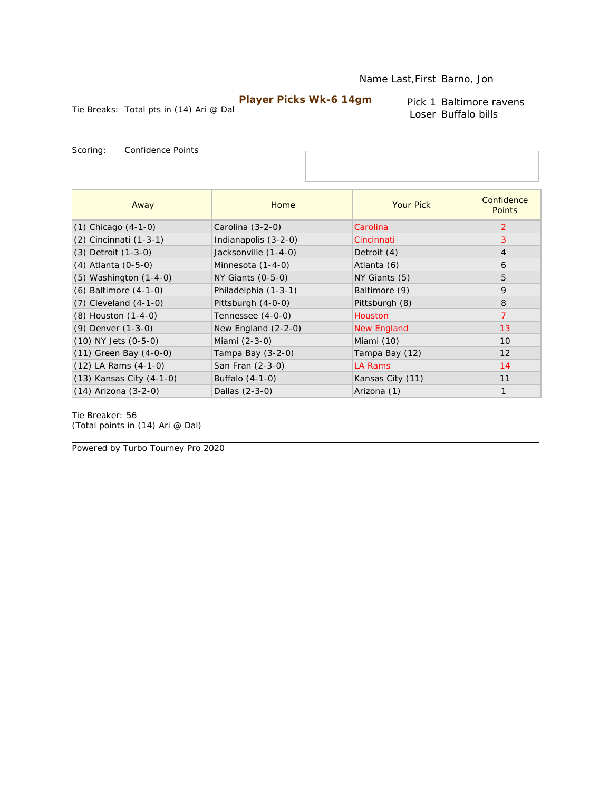Tie Breaks: Total pts in (14) Ari @ Dal

Pick 1 Baltimore ravens Loser Buffalo bills

Scoring: Confidence Points

| Away                       | Home                  | <b>Your Pick</b>   | Confidence<br><b>Points</b> |
|----------------------------|-----------------------|--------------------|-----------------------------|
| $(1)$ Chicago $(4-1-0)$    | Carolina $(3-2-0)$    | Carolina           | 2                           |
| $(2)$ Cincinnati $(1-3-1)$ | Indianapolis (3-2-0)  | Cincinnati         | 3                           |
| $(3)$ Detroit $(1-3-0)$    | Jacksonville (1-4-0)  | Detroit (4)        | $\overline{4}$              |
| (4) Atlanta (0-5-0)        | Minnesota (1-4-0)     | Atlanta (6)        | 6                           |
| $(5)$ Washington $(1-4-0)$ | NY Giants (0-5-0)     | NY Giants (5)      | 5                           |
| $(6)$ Baltimore $(4-1-0)$  | Philadelphia (1-3-1)  | Baltimore (9)      | 9                           |
| $(7)$ Cleveland $(4-1-0)$  | Pittsburgh (4-0-0)    | Pittsburgh (8)     | 8                           |
| (8) Houston (1-4-0)        | Tennessee (4-0-0)     | <b>Houston</b>     | 7                           |
| (9) Denver (1-3-0)         | New England $(2-2-0)$ | <b>New England</b> | 13                          |
| $(10)$ NY Jets $(0-5-0)$   | Miami (2-3-0)         | Miami (10)         | 10                          |
| $(11)$ Green Bay $(4-0-0)$ | Tampa Bay (3-2-0)     | Tampa Bay (12)     | 12                          |
| $(12)$ LA Rams $(4-1-0)$   | San Fran (2-3-0)      | <b>LA Rams</b>     | 14                          |
| (13) Kansas City (4-1-0)   | Buffalo (4-1-0)       | Kansas City (11)   | 11                          |
| $(14)$ Arizona $(3-2-0)$   | Dallas (2-3-0)        | Arizona (1)        | $\mathbf{1}$                |

Tie Breaker: 56 *(Total points in (14) Ari @ Dal)*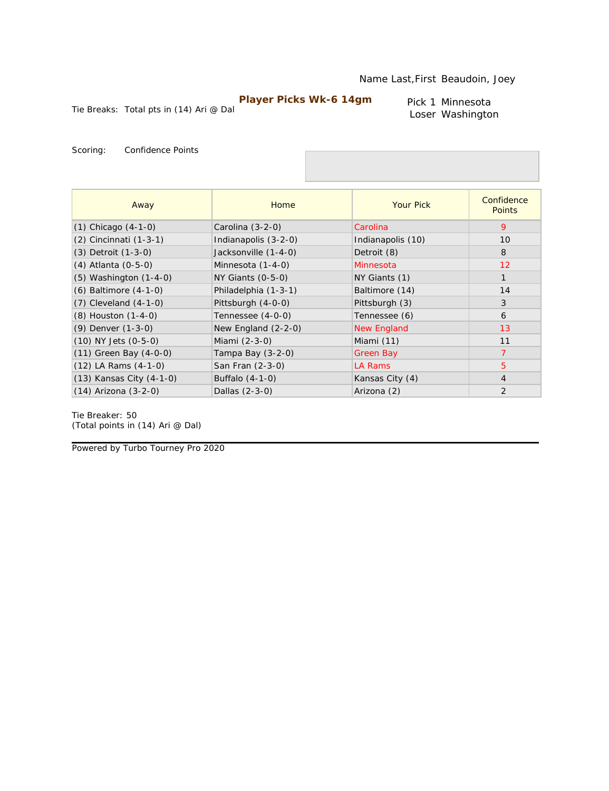Tie Breaks: Total pts in (14) Ari @ Dal

Pick 1 Minnesota Loser Washington

Scoring: Confidence Points

| Away                       | Home                  | <b>Your Pick</b>   | Confidence<br><b>Points</b> |
|----------------------------|-----------------------|--------------------|-----------------------------|
| $(1)$ Chicago $(4-1-0)$    | Carolina $(3-2-0)$    | Carolina           | 9                           |
| (2) Cincinnati (1-3-1)     | Indianapolis (3-2-0)  | Indianapolis (10)  | 10                          |
| (3) Detroit (1-3-0)        | Jacksonville (1-4-0)  | Detroit (8)        | 8                           |
| $(4)$ Atlanta $(0-5-0)$    | Minnesota (1-4-0)     | Minnesota          | 12                          |
| $(5)$ Washington $(1-4-0)$ | NY Giants (0-5-0)     | NY Giants (1)      | $\mathbf{1}$                |
| (6) Baltimore (4-1-0)      | Philadelphia (1-3-1)  | Baltimore (14)     | 14                          |
| $(7)$ Cleveland $(4-1-0)$  | Pittsburgh (4-0-0)    | Pittsburgh (3)     | 3                           |
| (8) Houston (1-4-0)        | Tennessee (4-0-0)     | Tennessee (6)      | 6                           |
| (9) Denver (1-3-0)         | New England $(2-2-0)$ | <b>New England</b> | 13                          |
| $(10)$ NY Jets $(0-5-0)$   | Miami (2-3-0)         | Miami (11)         | 11                          |
| $(11)$ Green Bay $(4-0-0)$ | Tampa Bay $(3-2-0)$   | Green Bay          | $\overline{7}$              |
| $(12)$ LA Rams $(4-1-0)$   | San Fran (2-3-0)      | LA Rams            | $\overline{5}$              |
| (13) Kansas City (4-1-0)   | Buffalo (4-1-0)       | Kansas City (4)    | $\overline{4}$              |
| $(14)$ Arizona $(3-2-0)$   | Dallas (2-3-0)        | Arizona (2)        | 2                           |

Tie Breaker: 50 *(Total points in (14) Ari @ Dal)*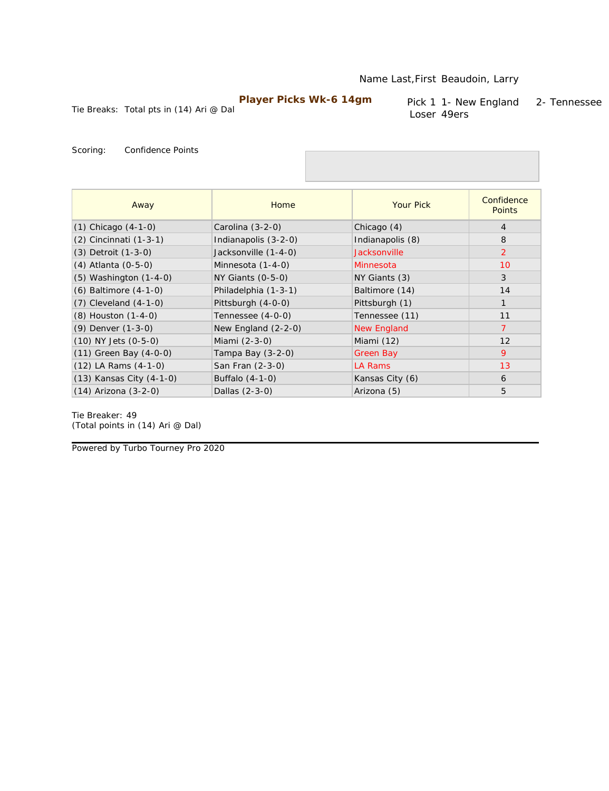Tie Breaks: Total pts in (14) Ari @ Dal

Pick 1 1- New England 2- Tennessee Loser 49ers

Scoring: Confidence Points

| Away                       | Home                  | <b>Your Pick</b>   | Confidence<br><b>Points</b> |
|----------------------------|-----------------------|--------------------|-----------------------------|
| $(1)$ Chicago $(4-1-0)$    | Carolina (3-2-0)      | Chicago (4)        | 4                           |
| (2) Cincinnati (1-3-1)     | Indianapolis (3-2-0)  | Indianapolis (8)   | 8                           |
| (3) Detroit (1-3-0)        | Jacksonville (1-4-0)  | Jacksonville       | 2                           |
| (4) Atlanta (0-5-0)        | Minnesota (1-4-0)     | Minnesota          | 10                          |
| $(5)$ Washington $(1-4-0)$ | NY Giants (0-5-0)     | NY Giants (3)      | 3                           |
| $(6)$ Baltimore $(4-1-0)$  | Philadelphia (1-3-1)  | Baltimore (14)     | 14                          |
| $(7)$ Cleveland $(4-1-0)$  | Pittsburgh (4-0-0)    | Pittsburgh (1)     |                             |
| (8) Houston (1-4-0)        | Tennessee (4-0-0)     | Tennessee (11)     | 11                          |
| (9) Denver (1-3-0)         | New England $(2-2-0)$ | <b>New England</b> | $\overline{7}$              |
| (10) NY Jets (0-5-0)       | Miami (2-3-0)         | Miami (12)         | 12                          |
| $(11)$ Green Bay $(4-0-0)$ | Tampa Bay (3-2-0)     | <b>Green Bay</b>   | 9                           |
| $(12)$ LA Rams $(4-1-0)$   | San Fran (2-3-0)      | LA Rams            | 13                          |
| (13) Kansas City (4-1-0)   | Buffalo (4-1-0)       | Kansas City (6)    | 6                           |
| $(14)$ Arizona $(3-2-0)$   | Dallas (2-3-0)        | Arizona (5)        | 5                           |

Tie Breaker: 49 *(Total points in (14) Ari @ Dal)*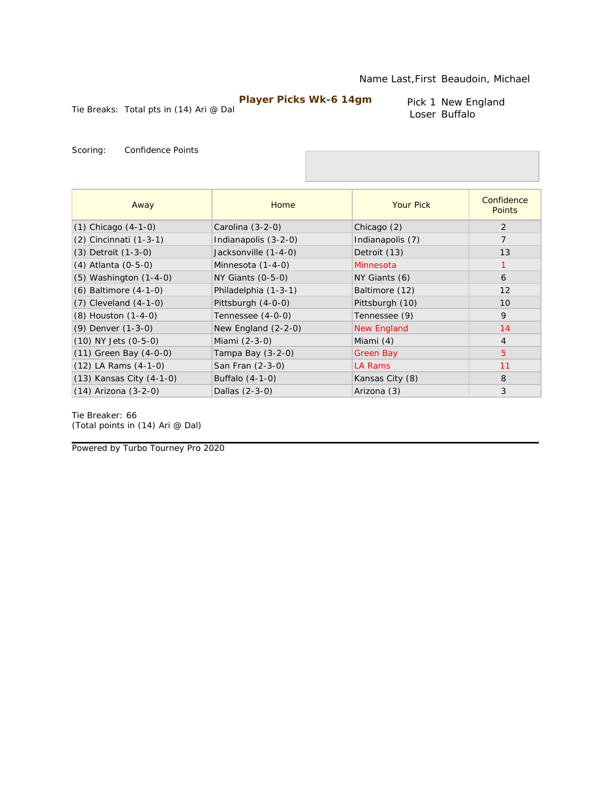Tie Breaks: Total pts in (14) Ari @ Dal

Pick 1 New England Loser Buffalo

Scoring: Confidence Points

| Away                       | Home                  | <b>Your Pick</b>   | Confidence<br><b>Points</b> |
|----------------------------|-----------------------|--------------------|-----------------------------|
| $(1)$ Chicago $(4-1-0)$    | Carolina (3-2-0)      | Chicago (2)        | 2                           |
| (2) Cincinnati (1-3-1)     | Indianapolis (3-2-0)  | Indianapolis (7)   | $\overline{7}$              |
| $(3)$ Detroit $(1-3-0)$    | Jacksonville (1-4-0)  | Detroit (13)       | 13                          |
| (4) Atlanta (0-5-0)        | Minnesota (1-4-0)     | Minnesota          | 1                           |
| $(5)$ Washington $(1-4-0)$ | $NY$ Giants $(0-5-0)$ | NY Giants (6)      | 6                           |
| $(6)$ Baltimore $(4-1-0)$  | Philadelphia (1-3-1)  | Baltimore (12)     | 12                          |
| $(7)$ Cleveland $(4-1-0)$  | Pittsburgh (4-0-0)    | Pittsburgh (10)    | 10                          |
| $(8)$ Houston $(1-4-0)$    | Tennessee (4-0-0)     | Tennessee (9)      | 9                           |
| (9) Denver (1-3-0)         | New England $(2-2-0)$ | <b>New England</b> | 14                          |
| $(10)$ NY Jets $(0-5-0)$   | Miami (2-3-0)         | Miami (4)          | $\overline{4}$              |
| $(11)$ Green Bay $(4-0-0)$ | Tampa Bay (3-2-0)     | Green Bay          | 5                           |
| $(12)$ LA Rams $(4-1-0)$   | San Fran (2-3-0)      | LA Rams            | 11                          |
| (13) Kansas City (4-1-0)   | Buffalo (4-1-0)       | Kansas City (8)    | 8                           |
| (14) Arizona (3-2-0)       | Dallas (2-3-0)        | Arizona (3)        | 3                           |

Tie Breaker: 66 *(Total points in (14) Ari @ Dal)*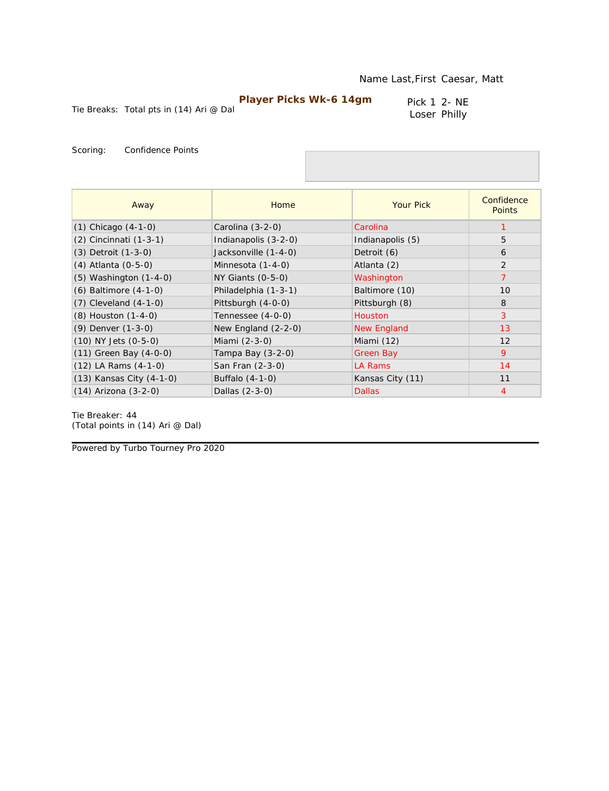Pick 1 2- NE Loser Philly

Tie Breaks: Total pts in (14) Ari @ Dal

Scoring: Confidence Points

| Away                       | Home                  | <b>Your Pick</b>   | Confidence<br><b>Points</b> |
|----------------------------|-----------------------|--------------------|-----------------------------|
| $(1)$ Chicago $(4-1-0)$    | Carolina $(3-2-0)$    | Carolina           |                             |
| (2) Cincinnati (1-3-1)     | Indianapolis (3-2-0)  | Indianapolis (5)   | 5                           |
| $(3)$ Detroit $(1-3-0)$    | Jacksonville (1-4-0)  | Detroit (6)        | 6                           |
| (4) Atlanta (0-5-0)        | Minnesota (1-4-0)     | Atlanta (2)        | 2                           |
| $(5)$ Washington $(1-4-0)$ | NY Giants (0-5-0)     | Washington         | $\overline{7}$              |
| (6) Baltimore (4-1-0)      | Philadelphia (1-3-1)  | Baltimore (10)     | 10                          |
| $(7)$ Cleveland $(4-1-0)$  | Pittsburgh (4-0-0)    | Pittsburgh (8)     | 8                           |
| (8) Houston (1-4-0)        | Tennessee (4-0-0)     | <b>Houston</b>     | 3                           |
| (9) Denver (1-3-0)         | New England $(2-2-0)$ | <b>New England</b> | 13                          |
| $(10)$ NY Jets $(0-5-0)$   | Miami (2-3-0)         | Miami (12)         | 12                          |
| $(11)$ Green Bay $(4-0-0)$ | Tampa Bay (3-2-0)     | Green Bay          | 9                           |
| $(12)$ LA Rams $(4-1-0)$   | San Fran (2-3-0)      | LA Rams            | 14                          |
| (13) Kansas City (4-1-0)   | Buffalo (4-1-0)       | Kansas City (11)   | 11                          |
| $(14)$ Arizona $(3-2-0)$   | Dallas (2-3-0)        | <b>Dallas</b>      | $\overline{4}$              |

Tie Breaker: 44 *(Total points in (14) Ari @ Dal)*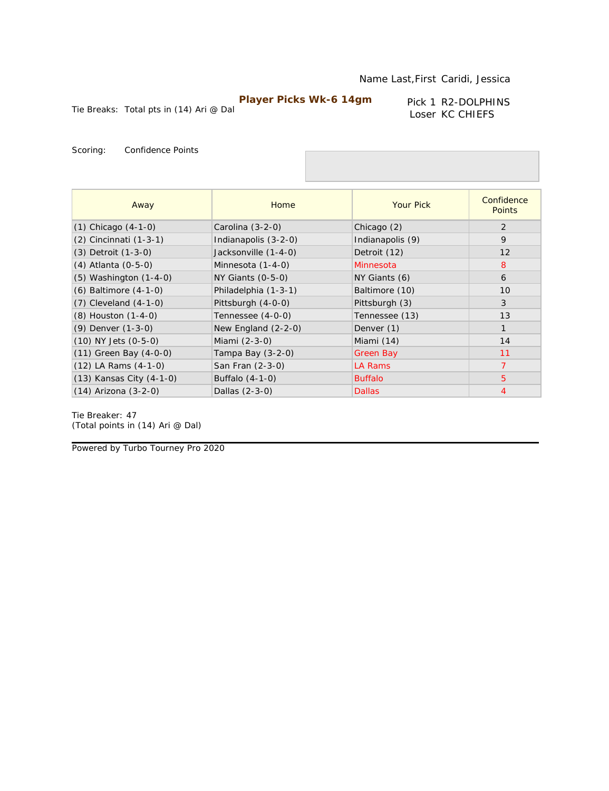Tie Breaks: Total pts in (14) Ari @ Dal

Pick 1 R2-DOLPHINS Loser KC CHIEFS

Scoring: Confidence Points

| Away                       | Home                  | <b>Your Pick</b> | Confidence<br><b>Points</b> |
|----------------------------|-----------------------|------------------|-----------------------------|
| $(1)$ Chicago $(4-1-0)$    | Carolina (3-2-0)      | Chicago (2)      | 2                           |
| (2) Cincinnati (1-3-1)     | Indianapolis (3-2-0)  | Indianapolis (9) | 9                           |
| $(3)$ Detroit $(1-3-0)$    | Jacksonville (1-4-0)  | Detroit (12)     | 12                          |
| (4) Atlanta (0-5-0)        | Minnesota (1-4-0)     | Minnesota        | 8                           |
| $(5)$ Washington $(1-4-0)$ | $NY$ Giants $(0-5-0)$ | NY Giants (6)    | 6                           |
| $(6)$ Baltimore $(4-1-0)$  | Philadelphia (1-3-1)  | Baltimore (10)   | 10                          |
| $(7)$ Cleveland $(4-1-0)$  | Pittsburgh (4-0-0)    | Pittsburgh (3)   | 3                           |
| (8) Houston (1-4-0)        | Tennessee (4-0-0)     | Tennessee (13)   | 13                          |
| (9) Denver (1-3-0)         | New England $(2-2-0)$ | Denver (1)       | $\mathbf{1}$                |
| $(10)$ NY Jets $(0-5-0)$   | Miami (2-3-0)         | Miami (14)       | 14                          |
| $(11)$ Green Bay $(4-0-0)$ | Tampa Bay (3-2-0)     | Green Bay        | 11                          |
| $(12)$ LA Rams $(4-1-0)$   | San Fran (2-3-0)      | LA Rams          | $\overline{7}$              |
| (13) Kansas City (4-1-0)   | Buffalo $(4-1-0)$     | <b>Buffalo</b>   | 5                           |
| (14) Arizona (3-2-0)       | Dallas (2-3-0)        | <b>Dallas</b>    | 4                           |

Tie Breaker: 47 *(Total points in (14) Ari @ Dal)*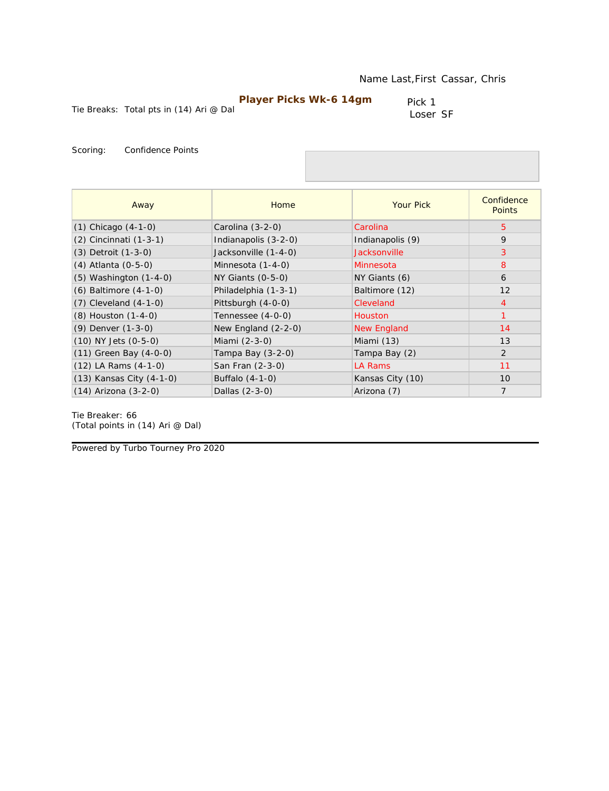Tie Breaks: Total pts in (14) Ari @ Dal

Pick 1 Loser SF

Scoring: Confidence Points

| Away                       | Home                  | <b>Your Pick</b>   | Confidence<br><b>Points</b> |
|----------------------------|-----------------------|--------------------|-----------------------------|
| $(1)$ Chicago $(4-1-0)$    | Carolina (3-2-0)      | Carolina           | 5                           |
| (2) Cincinnati (1-3-1)     | Indianapolis (3-2-0)  | Indianapolis (9)   | 9                           |
| (3) Detroit (1-3-0)        | Jacksonville (1-4-0)  | Jacksonville       | 3                           |
| (4) Atlanta (0-5-0)        | Minnesota (1-4-0)     | Minnesota          | 8                           |
| $(5)$ Washington $(1-4-0)$ | $NY$ Giants $(0-5-0)$ | NY Giants (6)      | 6                           |
| $(6)$ Baltimore $(4-1-0)$  | Philadelphia (1-3-1)  | Baltimore (12)     | 12                          |
| $(7)$ Cleveland $(4-1-0)$  | Pittsburgh (4-0-0)    | Cleveland          | $\overline{4}$              |
| $(8)$ Houston $(1-4-0)$    | Tennessee (4-0-0)     | <b>Houston</b>     | $\mathbf{1}$                |
| (9) Denver (1-3-0)         | New England $(2-2-0)$ | <b>New England</b> | 14                          |
| $(10)$ NY Jets $(0-5-0)$   | Miami (2-3-0)         | Miami (13)         | 13                          |
| $(11)$ Green Bay $(4-0-0)$ | Tampa Bay (3-2-0)     | Tampa Bay (2)      | 2                           |
| $(12)$ LA Rams $(4-1-0)$   | San Fran (2-3-0)      | LA Rams            | 11                          |
| (13) Kansas City (4-1-0)   | Buffalo (4-1-0)       | Kansas City (10)   | 10                          |
| $(14)$ Arizona $(3-2-0)$   | Dallas (2-3-0)        | Arizona (7)        | $\overline{7}$              |

Tie Breaker: 66 *(Total points in (14) Ari @ Dal)*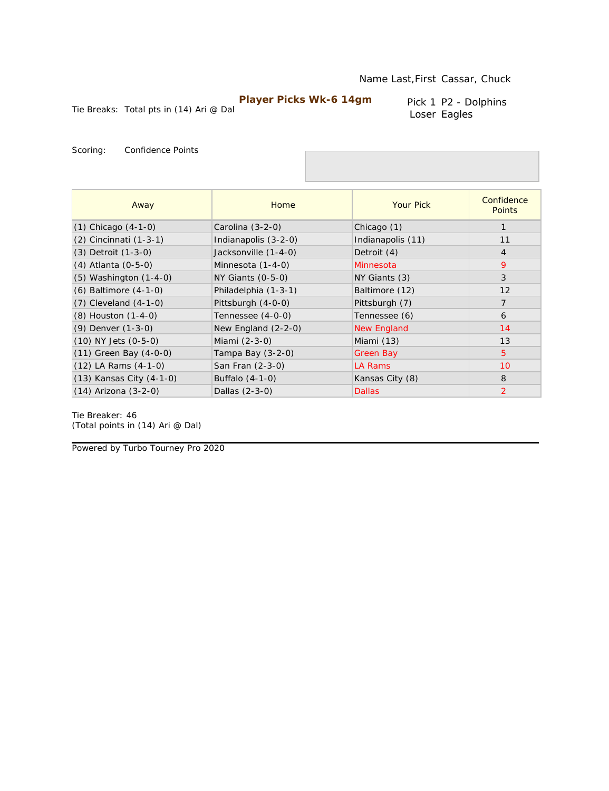Tie Breaks: Total pts in (14) Ari @ Dal

Pick 1 P2 - Dolphins Loser Eagles

Scoring: Confidence Points

| Away                       | Home                  | <b>Your Pick</b>   | Confidence<br><b>Points</b> |
|----------------------------|-----------------------|--------------------|-----------------------------|
| $(1)$ Chicago $(4-1-0)$    | Carolina (3-2-0)      | Chicago (1)        |                             |
| (2) Cincinnati (1-3-1)     | Indianapolis (3-2-0)  | Indianapolis (11)  | 11                          |
| $(3)$ Detroit $(1-3-0)$    | Jacksonville (1-4-0)  | Detroit (4)        | $\overline{4}$              |
| (4) Atlanta (0-5-0)        | Minnesota (1-4-0)     | Minnesota          | 9                           |
| $(5)$ Washington $(1-4-0)$ | $NY$ Giants $(0-5-0)$ | NY Giants (3)      | 3                           |
| (6) Baltimore (4-1-0)      | Philadelphia (1-3-1)  | Baltimore (12)     | 12                          |
| $(7)$ Cleveland $(4-1-0)$  | Pittsburgh (4-0-0)    | Pittsburgh (7)     | $\overline{7}$              |
| $(8)$ Houston $(1-4-0)$    | Tennessee (4-0-0)     | Tennessee (6)      | 6                           |
| (9) Denver (1-3-0)         | New England $(2-2-0)$ | <b>New England</b> | 14                          |
| $(10)$ NY Jets $(0-5-0)$   | Miami (2-3-0)         | Miami (13)         | 13                          |
| $(11)$ Green Bay $(4-0-0)$ | Tampa Bay (3-2-0)     | Green Bay          | 5                           |
| $(12)$ LA Rams $(4-1-0)$   | San Fran (2-3-0)      | LA Rams            | 10                          |
| (13) Kansas City (4-1-0)   | Buffalo (4-1-0)       | Kansas City (8)    | 8                           |
| $(14)$ Arizona $(3-2-0)$   | Dallas (2-3-0)        | <b>Dallas</b>      | $\overline{2}$              |

Tie Breaker: 46 *(Total points in (14) Ari @ Dal)*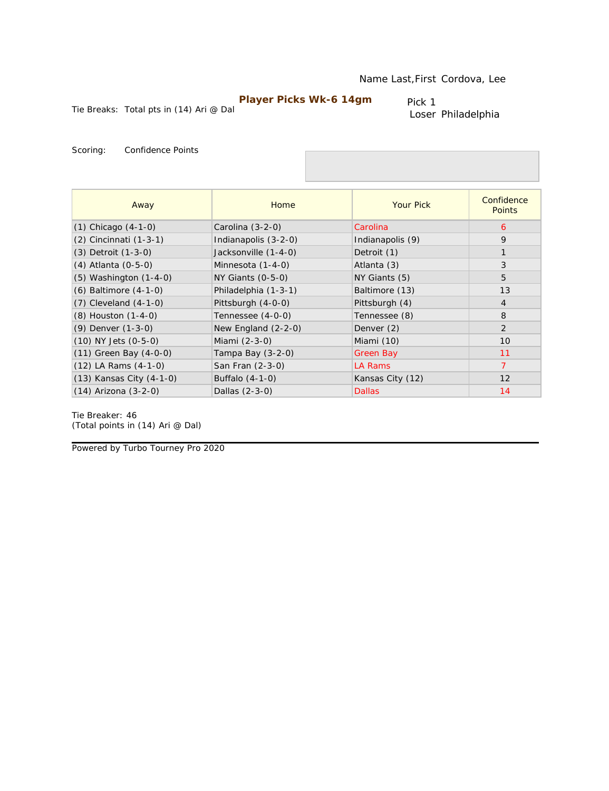Tie Breaks: Total pts in (14) Ari @ Dal

Pick 1 Loser Philadelphia

Scoring: Confidence Points

| Away                       | Home                  | <b>Your Pick</b> | Confidence<br><b>Points</b> |
|----------------------------|-----------------------|------------------|-----------------------------|
| $(1)$ Chicago $(4-1-0)$    | Carolina $(3-2-0)$    | Carolina         | 6                           |
| (2) Cincinnati (1-3-1)     | Indianapolis (3-2-0)  | Indianapolis (9) | 9                           |
| (3) Detroit (1-3-0)        | Jacksonville (1-4-0)  | Detroit (1)      |                             |
| (4) Atlanta (0-5-0)        | Minnesota (1-4-0)     | Atlanta (3)      | 3                           |
| $(5)$ Washington $(1-4-0)$ | $NY$ Giants $(0-5-0)$ | NY Giants (5)    | 5                           |
| (6) Baltimore (4-1-0)      | Philadelphia (1-3-1)  | Baltimore (13)   | 13                          |
| $(7)$ Cleveland $(4-1-0)$  | Pittsburgh (4-0-0)    | Pittsburgh (4)   | $\overline{4}$              |
| (8) Houston (1-4-0)        | Tennessee (4-0-0)     | Tennessee (8)    | 8                           |
| $(9)$ Denver $(1-3-0)$     | New England $(2-2-0)$ | Denver (2)       | $\overline{2}$              |
| $(10)$ NY Jets $(0-5-0)$   | Miami (2-3-0)         | Miami (10)       | 10                          |
| $(11)$ Green Bay $(4-0-0)$ | Tampa Bay $(3-2-0)$   | Green Bay        | 11                          |
| $(12)$ LA Rams $(4-1-0)$   | San Fran (2-3-0)      | LA Rams          | $\overline{7}$              |
| (13) Kansas City (4-1-0)   | Buffalo (4-1-0)       | Kansas City (12) | 12                          |
| $(14)$ Arizona $(3-2-0)$   | Dallas (2-3-0)        | <b>Dallas</b>    | 14                          |

Tie Breaker: 46 *(Total points in (14) Ari @ Dal)*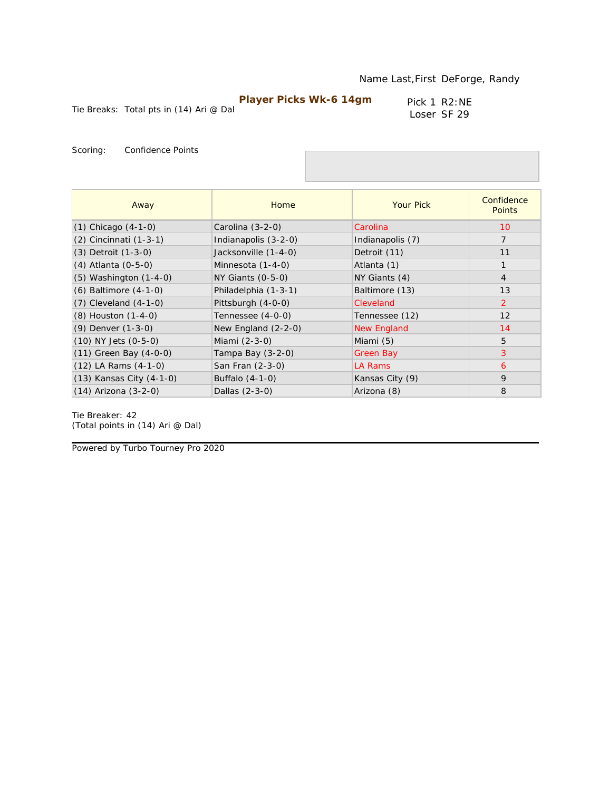Tie Breaks: Total pts in (14) Ari @ Dal

Pick 1 R2:NE Loser SF 29

Scoring: Confidence Points

| Away                       | Home                  | <b>Your Pick</b> | Confidence<br><b>Points</b> |
|----------------------------|-----------------------|------------------|-----------------------------|
| $(1)$ Chicago $(4-1-0)$    | Carolina (3-2-0)      | Carolina         | 10                          |
| (2) Cincinnati (1-3-1)     | Indianapolis (3-2-0)  | Indianapolis (7) | $\overline{7}$              |
| (3) Detroit (1-3-0)        | Jacksonville (1-4-0)  | Detroit (11)     | 11                          |
| (4) Atlanta (0-5-0)        | Minnesota (1-4-0)     | Atlanta (1)      | $\mathbf{1}$                |
| $(5)$ Washington $(1-4-0)$ | $NY$ Giants $(0-5-0)$ | NY Giants (4)    | $\overline{4}$              |
| $(6)$ Baltimore $(4-1-0)$  | Philadelphia (1-3-1)  | Baltimore (13)   | 13                          |
| $(7)$ Cleveland $(4-1-0)$  | Pittsburgh (4-0-0)    | Cleveland        | $\overline{2}$              |
| (8) Houston (1-4-0)        | Tennessee (4-0-0)     | Tennessee (12)   | 12                          |
| (9) Denver (1-3-0)         | New England $(2-2-0)$ | New England      | 14                          |
| $(10)$ NY Jets $(0-5-0)$   | Miami (2-3-0)         | Miami (5)        | 5                           |
| $(11)$ Green Bay $(4-0-0)$ | Tampa Bay $(3-2-0)$   | Green Bay        | 3                           |
| $(12)$ LA Rams $(4-1-0)$   | San Fran (2-3-0)      | LA Rams          | 6                           |
| (13) Kansas City (4-1-0)   | Buffalo (4-1-0)       | Kansas City (9)  | 9                           |
| $(14)$ Arizona $(3-2-0)$   | Dallas (2-3-0)        | Arizona (8)      | 8                           |

Tie Breaker: 42 *(Total points in (14) Ari @ Dal)*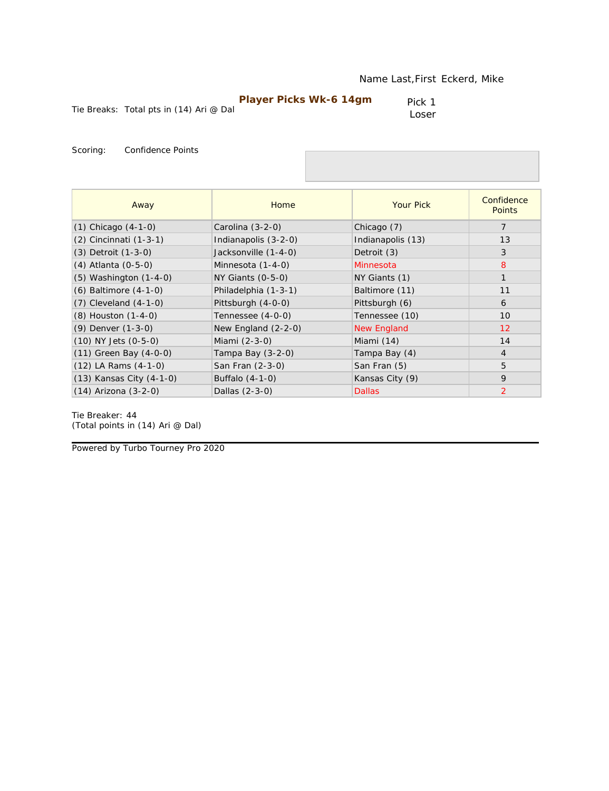| <b>Player Picks Wk-6 14gm</b> |  |
|-------------------------------|--|
|-------------------------------|--|

Pick 1 Loser

Scoring: Confidence Points

| Away                       | Home                  | <b>Your Pick</b>  | Confidence<br><b>Points</b> |
|----------------------------|-----------------------|-------------------|-----------------------------|
| $(1)$ Chicago $(4-1-0)$    | Carolina (3-2-0)      | Chicago (7)       | $\overline{7}$              |
| (2) Cincinnati (1-3-1)     | Indianapolis (3-2-0)  | Indianapolis (13) | 13                          |
| (3) Detroit (1-3-0)        | Jacksonville (1-4-0)  | Detroit (3)       | 3                           |
| (4) Atlanta (0-5-0)        | Minnesota (1-4-0)     | Minnesota         | 8                           |
| $(5)$ Washington $(1-4-0)$ | $NY$ Giants $(0-5-0)$ | NY Giants (1)     | $\mathbf{1}$                |
| $(6)$ Baltimore $(4-1-0)$  | Philadelphia (1-3-1)  | Baltimore (11)    | 11                          |
| $(7)$ Cleveland $(4-1-0)$  | Pittsburgh (4-0-0)    | Pittsburgh (6)    | 6                           |
| $(8)$ Houston $(1-4-0)$    | Tennessee (4-0-0)     | Tennessee (10)    | 10                          |
| (9) Denver (1-3-0)         | New England $(2-2-0)$ | New England       | 12                          |
| $(10)$ NY Jets $(0-5-0)$   | Miami (2-3-0)         | Miami (14)        | 14                          |
| $(11)$ Green Bay $(4-0-0)$ | Tampa Bay (3-2-0)     | Tampa Bay (4)     | $\overline{4}$              |
| $(12)$ LA Rams $(4-1-0)$   | San Fran (2-3-0)      | San Fran (5)      | 5                           |
| (13) Kansas City (4-1-0)   | Buffalo (4-1-0)       | Kansas City (9)   | 9                           |
| $(14)$ Arizona $(3-2-0)$   | Dallas (2-3-0)        | <b>Dallas</b>     | $\overline{2}$              |

Tie Breaker: 44 *(Total points in (14) Ari @ Dal)*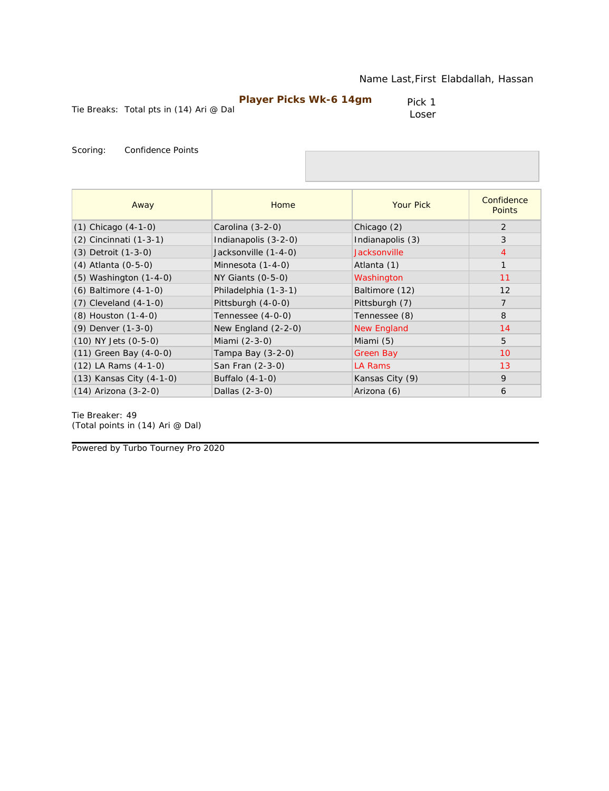Pick 1 Loser

Scoring: Confidence Points

| Away                       | Home                  | <b>Your Pick</b>    | Confidence<br><b>Points</b> |
|----------------------------|-----------------------|---------------------|-----------------------------|
| $(1)$ Chicago $(4-1-0)$    | Carolina (3-2-0)      | Chicago (2)         | 2                           |
| (2) Cincinnati (1-3-1)     | Indianapolis (3-2-0)  | Indianapolis (3)    | 3                           |
| (3) Detroit (1-3-0)        | Jacksonville (1-4-0)  | <b>Jacksonville</b> | $\overline{4}$              |
| (4) Atlanta (0-5-0)        | Minnesota (1-4-0)     | Atlanta (1)         | $\mathbf{1}$                |
| (5) Washington (1-4-0)     | $NY$ Giants $(0-5-0)$ | Washington          | 11                          |
| (6) Baltimore (4-1-0)      | Philadelphia (1-3-1)  | Baltimore (12)      | 12                          |
| $(7)$ Cleveland $(4-1-0)$  | Pittsburgh (4-0-0)    | Pittsburgh (7)      | $\overline{7}$              |
| (8) Houston (1-4-0)        | Tennessee (4-0-0)     | Tennessee (8)       | 8                           |
| (9) Denver (1-3-0)         | New England (2-2-0)   | <b>New England</b>  | 14                          |
| (10) NY Jets (0-5-0)       | Miami (2-3-0)         | Miami (5)           | 5                           |
| $(11)$ Green Bay $(4-0-0)$ | Tampa Bay (3-2-0)     | <b>Green Bay</b>    | 10                          |
| $(12)$ LA Rams $(4-1-0)$   | San Fran (2-3-0)      | LA Rams             | 13                          |
| (13) Kansas City (4-1-0)   | Buffalo (4-1-0)       | Kansas City (9)     | 9                           |
| $(14)$ Arizona $(3-2-0)$   | Dallas (2-3-0)        | Arizona (6)         | 6                           |

Tie Breaker: 49 *(Total points in (14) Ari @ Dal)*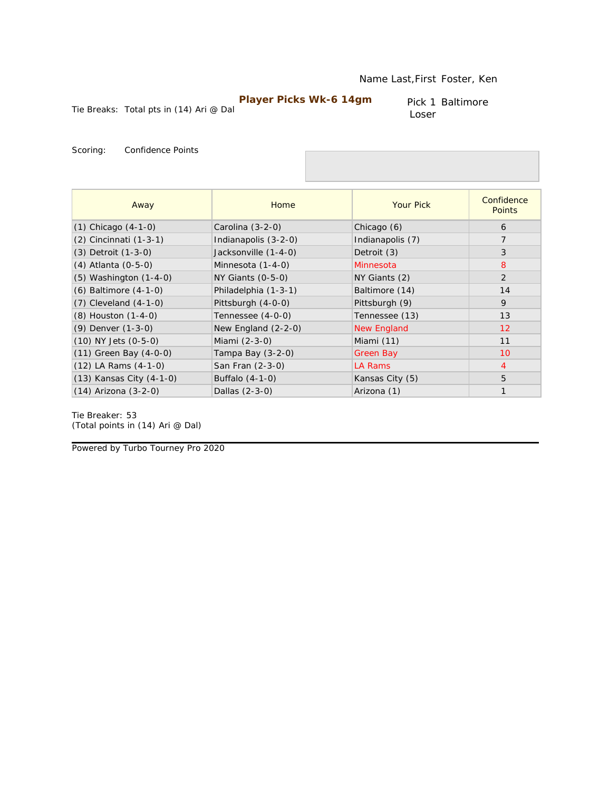Pick 1 Baltimore Loser

Tie Breaks: Total pts in (14) Ari @ Dal

Scoring: Confidence Points

| Away                       | Home                  | <b>Your Pick</b>   | Confidence<br><b>Points</b> |
|----------------------------|-----------------------|--------------------|-----------------------------|
| $(1)$ Chicago $(4-1-0)$    | Carolina (3-2-0)      | Chicago (6)        | 6                           |
| (2) Cincinnati (1-3-1)     | Indianapolis (3-2-0)  | Indianapolis (7)   | $\overline{7}$              |
| (3) Detroit (1-3-0)        | Jacksonville (1-4-0)  | Detroit (3)        | 3                           |
| (4) Atlanta (0-5-0)        | Minnesota (1-4-0)     | Minnesota          | 8                           |
| $(5)$ Washington $(1-4-0)$ | $NY$ Giants $(0-5-0)$ | NY Giants (2)      | $\overline{2}$              |
| $(6)$ Baltimore $(4-1-0)$  | Philadelphia (1-3-1)  | Baltimore (14)     | 14                          |
| $(7)$ Cleveland $(4-1-0)$  | Pittsburgh (4-0-0)    | Pittsburgh (9)     | 9                           |
| (8) Houston (1-4-0)        | Tennessee (4-0-0)     | Tennessee (13)     | 13                          |
| (9) Denver (1-3-0)         | New England $(2-2-0)$ | <b>New England</b> | 12                          |
| $(10)$ NY Jets $(0-5-0)$   | Miami (2-3-0)         | Miami (11)         | 11                          |
| $(11)$ Green Bay $(4-0-0)$ | Tampa Bay (3-2-0)     | Green Bay          | 10                          |
| $(12)$ LA Rams $(4-1-0)$   | San Fran (2-3-0)      | LA Rams            | $\overline{4}$              |
| (13) Kansas City (4-1-0)   | Buffalo $(4-1-0)$     | Kansas City (5)    | 5                           |
| (14) Arizona (3-2-0)       | Dallas (2-3-0)        | Arizona (1)        | $\mathbf{1}$                |

Tie Breaker: 53 *(Total points in (14) Ari @ Dal)*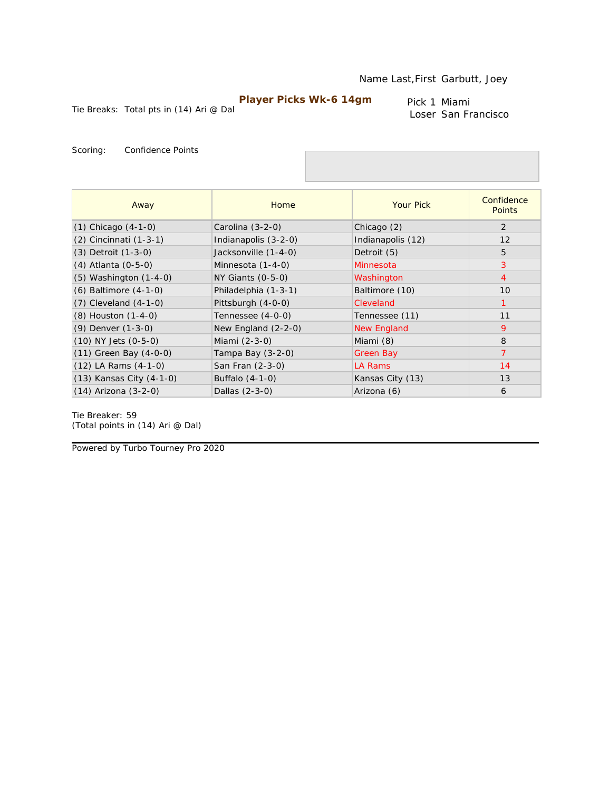Tie Breaks: Total pts in (14) Ari @ Dal

Pick 1 Miami Loser San Francisco

Scoring: Confidence Points

| Away                       | Home                  | <b>Your Pick</b>   | Confidence<br><b>Points</b> |
|----------------------------|-----------------------|--------------------|-----------------------------|
| $(1)$ Chicago $(4-1-0)$    | Carolina (3-2-0)      | Chicago (2)        | 2                           |
| (2) Cincinnati (1-3-1)     | Indianapolis (3-2-0)  | Indianapolis (12)  | 12                          |
| (3) Detroit (1-3-0)        | Jacksonville (1-4-0)  | Detroit (5)        | 5                           |
| (4) Atlanta (0-5-0)        | Minnesota (1-4-0)     | Minnesota          | 3                           |
| $(5)$ Washington $(1-4-0)$ | $NY$ Giants $(0-5-0)$ | Washington         | $\overline{4}$              |
| $(6)$ Baltimore $(4-1-0)$  | Philadelphia (1-3-1)  | Baltimore (10)     | 10                          |
| $(7)$ Cleveland $(4-1-0)$  | Pittsburgh (4-0-0)    | Cleveland          | $\mathbf 1$                 |
| (8) Houston (1-4-0)        | Tennessee (4-0-0)     | Tennessee (11)     | 11                          |
| (9) Denver (1-3-0)         | New England $(2-2-0)$ | <b>New England</b> | 9                           |
| $(10)$ NY Jets $(0-5-0)$   | Miami (2-3-0)         | Miami (8)          | 8                           |
| $(11)$ Green Bay $(4-0-0)$ | Tampa Bay $(3-2-0)$   | Green Bay          | $\overline{7}$              |
| $(12)$ LA Rams $(4-1-0)$   | San Fran (2-3-0)      | LA Rams            | 14                          |
| (13) Kansas City (4-1-0)   | Buffalo (4-1-0)       | Kansas City (13)   | 13                          |
| $(14)$ Arizona $(3-2-0)$   | Dallas (2-3-0)        | Arizona (6)        | 6                           |

Tie Breaker: 59 *(Total points in (14) Ari @ Dal)*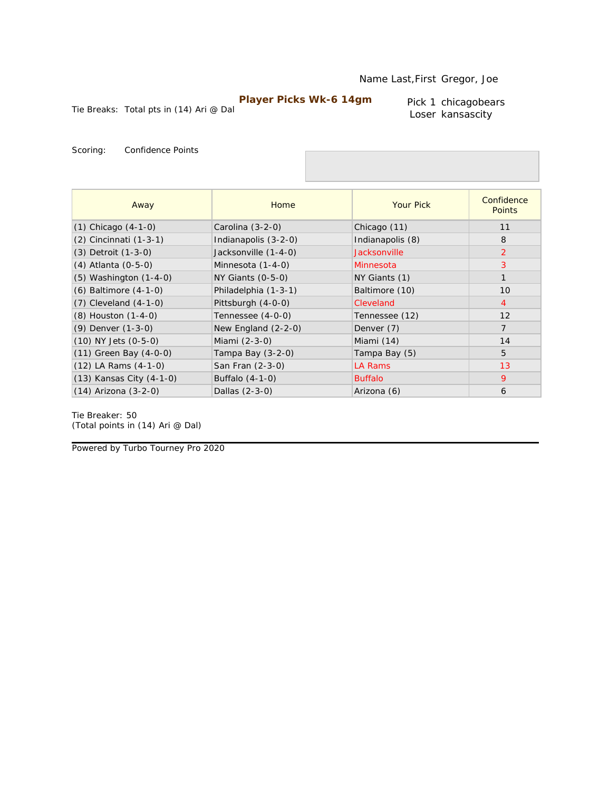Tie Breaks: Total pts in (14) Ari @ Dal

Pick 1 chicagobears Loser kansascity

Scoring: Confidence Points

| Away                       | Home                  | <b>Your Pick</b> | Confidence<br><b>Points</b> |
|----------------------------|-----------------------|------------------|-----------------------------|
| $(1)$ Chicago $(4-1-0)$    | Carolina (3-2-0)      | Chicago (11)     | 11                          |
| (2) Cincinnati (1-3-1)     | Indianapolis (3-2-0)  | Indianapolis (8) | 8                           |
| (3) Detroit (1-3-0)        | Jacksonville (1-4-0)  | Jacksonville     | 2                           |
| (4) Atlanta (0-5-0)        | Minnesota (1-4-0)     | Minnesota        | 3                           |
| $(5)$ Washington $(1-4-0)$ | $NY$ Giants $(0-5-0)$ | NY Giants (1)    | $\mathbf{1}$                |
| $(6)$ Baltimore $(4-1-0)$  | Philadelphia (1-3-1)  | Baltimore (10)   | 10                          |
| $(7)$ Cleveland $(4-1-0)$  | Pittsburgh (4-0-0)    | Cleveland        | $\overline{4}$              |
| (8) Houston (1-4-0)        | Tennessee (4-0-0)     | Tennessee (12)   | 12                          |
| (9) Denver (1-3-0)         | New England $(2-2-0)$ | Denver (7)       | $\overline{7}$              |
| $(10)$ NY Jets $(0-5-0)$   | Miami (2-3-0)         | Miami (14)       | 14                          |
| $(11)$ Green Bay $(4-0-0)$ | Tampa Bay $(3-2-0)$   | Tampa Bay (5)    | 5                           |
| $(12)$ LA Rams $(4-1-0)$   | San Fran (2-3-0)      | LA Rams          | 13                          |
| (13) Kansas City (4-1-0)   | Buffalo (4-1-0)       | <b>Buffalo</b>   | 9                           |
| $(14)$ Arizona $(3-2-0)$   | Dallas (2-3-0)        | Arizona (6)      | 6                           |

Tie Breaker: 50 *(Total points in (14) Ari @ Dal)*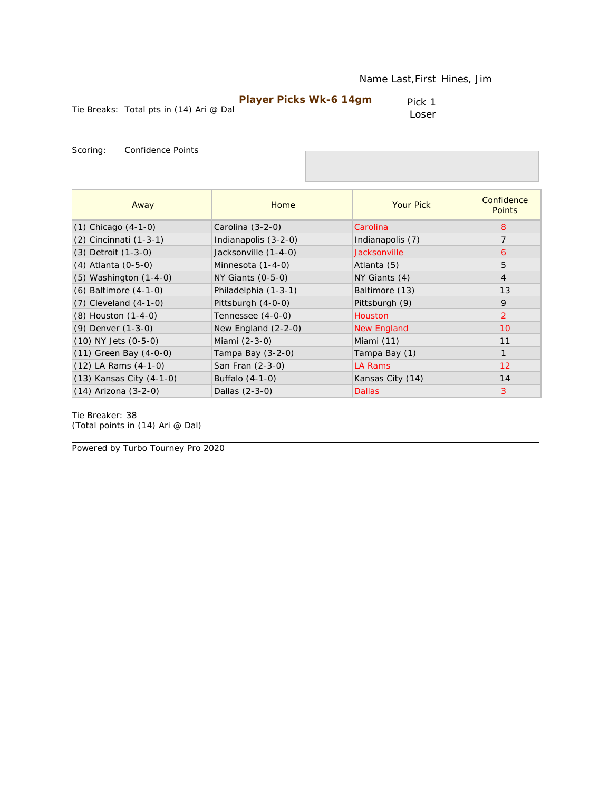| <b>Player Picks Wk-6 14gm</b> |  |
|-------------------------------|--|
|-------------------------------|--|

Pick 1 Loser

Scoring: Confidence Points

| Away                       | Home                  | <b>Your Pick</b>    | Confidence<br><b>Points</b> |
|----------------------------|-----------------------|---------------------|-----------------------------|
| $(1)$ Chicago $(4-1-0)$    | Carolina $(3-2-0)$    | Carolina            | 8                           |
| (2) Cincinnati (1-3-1)     | Indianapolis (3-2-0)  | Indianapolis (7)    | 7                           |
| (3) Detroit (1-3-0)        | Jacksonville (1-4-0)  | <b>Jacksonville</b> | 6                           |
| (4) Atlanta (0-5-0)        | Minnesota (1-4-0)     | Atlanta (5)         | 5                           |
| $(5)$ Washington $(1-4-0)$ | $NY$ Giants $(0-5-0)$ | NY Giants (4)       | $\overline{4}$              |
| $(6)$ Baltimore $(4-1-0)$  | Philadelphia (1-3-1)  | Baltimore (13)      | 13                          |
| $(7)$ Cleveland $(4-1-0)$  | Pittsburgh (4-0-0)    | Pittsburgh (9)      | 9                           |
| (8) Houston (1-4-0)        | Tennessee (4-0-0)     | <b>Houston</b>      | $\overline{2}$              |
| (9) Denver (1-3-0)         | New England $(2-2-0)$ | New England         | 10                          |
| $(10)$ NY Jets $(0-5-0)$   | Miami (2-3-0)         | Miami (11)          | 11                          |
| $(11)$ Green Bay $(4-0-0)$ | Tampa Bay (3-2-0)     | Tampa Bay (1)       |                             |
| $(12)$ LA Rams $(4-1-0)$   | San Fran (2-3-0)      | <b>LA Rams</b>      | 12 <sup>2</sup>             |
| (13) Kansas City (4-1-0)   | Buffalo $(4-1-0)$     | Kansas City (14)    | 14                          |
| $(14)$ Arizona $(3-2-0)$   | Dallas (2-3-0)        | <b>Dallas</b>       | 3                           |

Tie Breaker: 38 *(Total points in (14) Ari @ Dal)*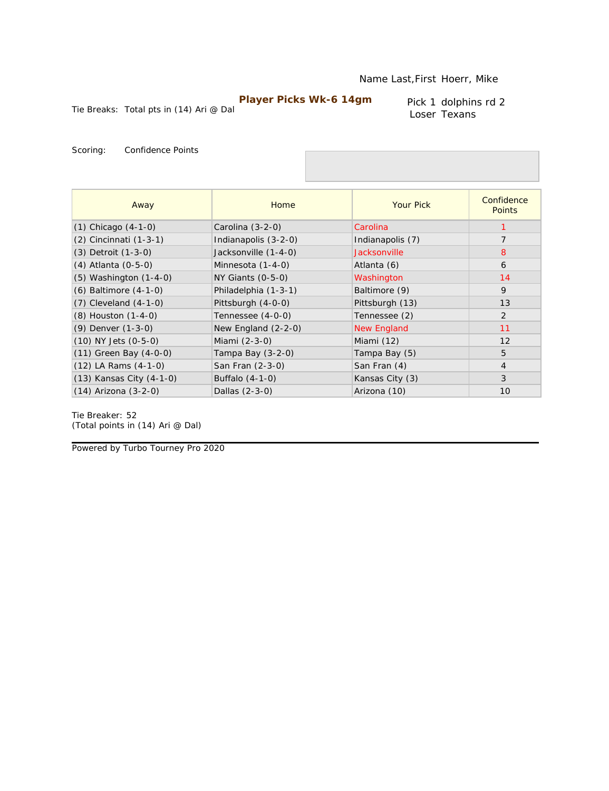Tie Breaks: Total pts in (14) Ari @ Dal

Pick 1 dolphins rd 2 Loser Texans

Scoring: Confidence Points

| Away                       | Home                  | <b>Your Pick</b>   | Confidence<br><b>Points</b> |
|----------------------------|-----------------------|--------------------|-----------------------------|
| $(1)$ Chicago $(4-1-0)$    | Carolina (3-2-0)      | Carolina           |                             |
| (2) Cincinnati (1-3-1)     | Indianapolis (3-2-0)  | Indianapolis (7)   | 7                           |
| (3) Detroit (1-3-0)        | Jacksonville (1-4-0)  | Jacksonville       | 8                           |
| (4) Atlanta (0-5-0)        | Minnesota (1-4-0)     | Atlanta (6)        | 6                           |
| $(5)$ Washington $(1-4-0)$ | $NY$ Giants $(0-5-0)$ | Washington         | 14                          |
| $(6)$ Baltimore $(4-1-0)$  | Philadelphia (1-3-1)  | Baltimore (9)      | $\mathsf{Q}$                |
| $(7)$ Cleveland $(4-1-0)$  | Pittsburgh (4-0-0)    | Pittsburgh (13)    | 13                          |
| $(8)$ Houston $(1-4-0)$    | Tennessee (4-0-0)     | Tennessee (2)      | 2                           |
| (9) Denver (1-3-0)         | New England $(2-2-0)$ | <b>New England</b> | 11                          |
| $(10)$ NY Jets $(0-5-0)$   | Miami (2-3-0)         | Miami (12)         | 12                          |
| $(11)$ Green Bay $(4-0-0)$ | Tampa Bay $(3-2-0)$   | Tampa Bay (5)      | 5                           |
| $(12)$ LA Rams $(4-1-0)$   | San Fran (2-3-0)      | San Fran (4)       | $\overline{4}$              |
| (13) Kansas City (4-1-0)   | Buffalo (4-1-0)       | Kansas City (3)    | 3                           |
| $(14)$ Arizona $(3-2-0)$   | Dallas (2-3-0)        | Arizona (10)       | 10                          |

Tie Breaker: 52 *(Total points in (14) Ari @ Dal)*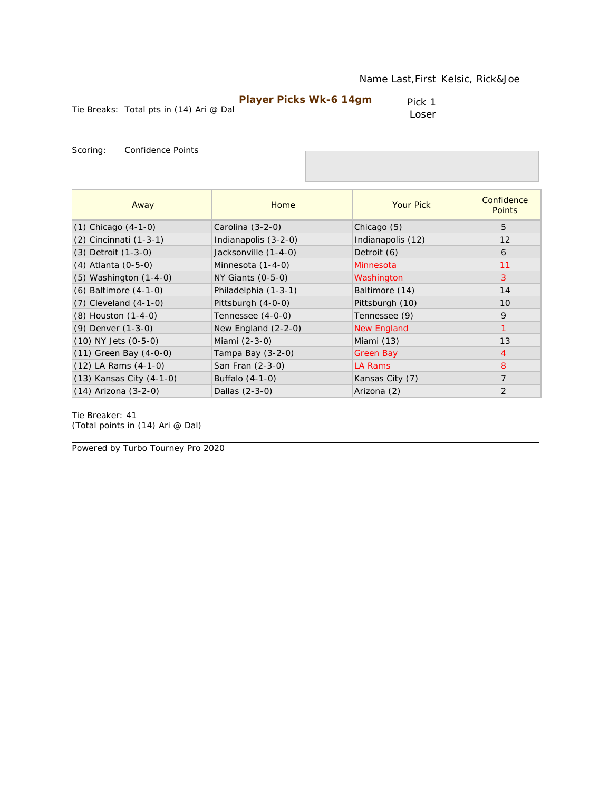| Player Picks Wk-6 14gm |  |
|------------------------|--|
|------------------------|--|

Pick 1 Loser

Scoring: Confidence Points

| Away                       | Home                  | <b>Your Pick</b>   | Confidence<br><b>Points</b> |
|----------------------------|-----------------------|--------------------|-----------------------------|
| $(1)$ Chicago $(4-1-0)$    | Carolina (3-2-0)      | Chicago (5)        | 5                           |
| (2) Cincinnati (1-3-1)     | Indianapolis (3-2-0)  | Indianapolis (12)  | 12                          |
| (3) Detroit (1-3-0)        | Jacksonville (1-4-0)  | Detroit (6)        | 6                           |
| (4) Atlanta (0-5-0)        | Minnesota (1-4-0)     | Minnesota          | 11                          |
| $(5)$ Washington $(1-4-0)$ | $NY$ Giants $(0-5-0)$ | Washington         | 3                           |
| $(6)$ Baltimore $(4-1-0)$  | Philadelphia (1-3-1)  | Baltimore (14)     | 14                          |
| $(7)$ Cleveland $(4-1-0)$  | Pittsburgh (4-0-0)    | Pittsburgh (10)    | 10                          |
| (8) Houston (1-4-0)        | Tennessee (4-0-0)     | Tennessee (9)      | 9                           |
| (9) Denver (1-3-0)         | New England (2-2-0)   | <b>New England</b> |                             |
| $(10)$ NY Jets $(0-5-0)$   | Miami (2-3-0)         | Miami (13)         | 13                          |
| $(11)$ Green Bay $(4-0-0)$ | Tampa Bay (3-2-0)     | Green Bay          | 4                           |
| $(12)$ LA Rams $(4-1-0)$   | San Fran (2-3-0)      | LA Rams            | 8                           |
| (13) Kansas City (4-1-0)   | Buffalo (4-1-0)       | Kansas City (7)    | 7                           |
| $(14)$ Arizona $(3-2-0)$   | Dallas (2-3-0)        | Arizona (2)        | 2                           |

Tie Breaker: 41 *(Total points in (14) Ari @ Dal)*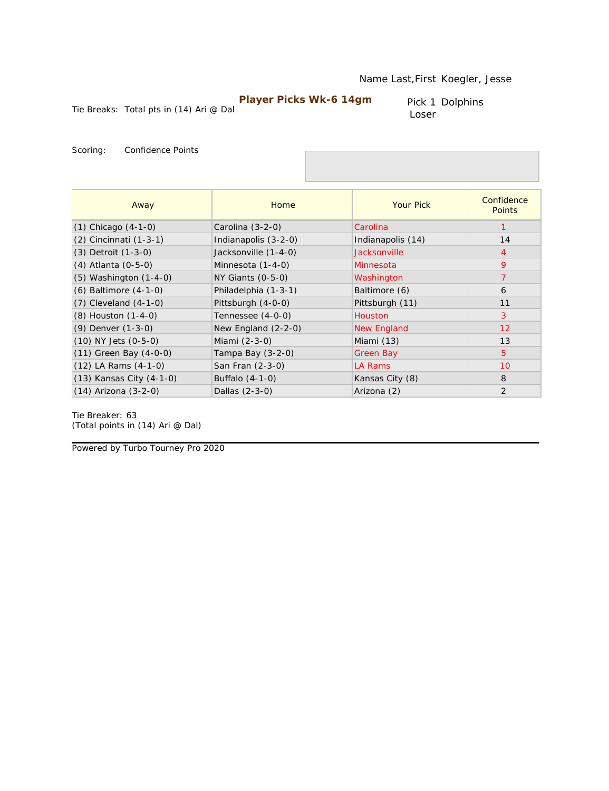Pick 1 Dolphins Loser

Tie Breaks: Total pts in (14) Ari @ Dal

Scoring: Confidence Points

| Away                       | <b>Home</b>           | <b>Your Pick</b>   | Confidence<br><b>Points</b> |
|----------------------------|-----------------------|--------------------|-----------------------------|
| $(1)$ Chicago $(4-1-0)$    | Carolina (3-2-0)      | Carolina           |                             |
| $(2)$ Cincinnati $(1-3-1)$ | Indianapolis (3-2-0)  | Indianapolis (14)  | 14                          |
| $(3)$ Detroit $(1-3-0)$    | Jacksonville (1-4-0)  | Jacksonville       | $\overline{4}$              |
| (4) Atlanta (0-5-0)        | Minnesota (1-4-0)     | Minnesota          | 9                           |
| $(5)$ Washington $(1-4-0)$ | $NY$ Giants $(0-5-0)$ | Washington         | $\overline{7}$              |
| $(6)$ Baltimore $(4-1-0)$  | Philadelphia (1-3-1)  | Baltimore (6)      | 6                           |
| $(7)$ Cleveland $(4-1-0)$  | Pittsburgh (4-0-0)    | Pittsburgh (11)    | 11                          |
| (8) Houston (1-4-0)        | Tennessee (4-0-0)     | <b>Houston</b>     | 3                           |
| (9) Denver (1-3-0)         | New England $(2-2-0)$ | <b>New England</b> | 12                          |
| $(10)$ NY Jets $(0-5-0)$   | Miami (2-3-0)         | Miami (13)         | 13                          |
| $(11)$ Green Bay $(4-0-0)$ | Tampa Bay (3-2-0)     | Green Bay          | 5                           |
| $(12)$ LA Rams $(4-1-0)$   | San Fran (2-3-0)      | LA Rams            | 10                          |
| (13) Kansas City (4-1-0)   | Buffalo (4-1-0)       | Kansas City (8)    | 8                           |
| (14) Arizona (3-2-0)       | Dallas (2-3-0)        | Arizona (2)        | $\overline{2}$              |

Tie Breaker: 63 *(Total points in (14) Ari @ Dal)*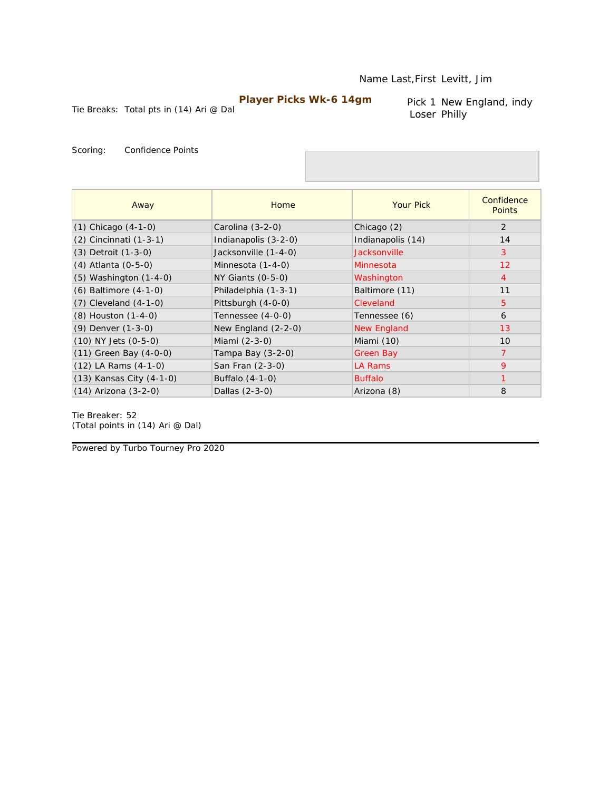Tie Breaks: Total pts in (14) Ari @ Dal

Pick 1 New England, indy Loser Philly

Scoring: Confidence Points

| Away                       | Home                 | <b>Your Pick</b>   | Confidence<br><b>Points</b> |
|----------------------------|----------------------|--------------------|-----------------------------|
| $(1)$ Chicago $(4-1-0)$    | Carolina (3-2-0)     | Chicago (2)        | 2                           |
| (2) Cincinnati (1-3-1)     | Indianapolis (3-2-0) | Indianapolis (14)  | 14                          |
| (3) Detroit (1-3-0)        | Jacksonville (1-4-0) | Jacksonville       | 3                           |
| (4) Atlanta (0-5-0)        | Minnesota (1-4-0)    | Minnesota          | 12                          |
| $(5)$ Washington $(1-4-0)$ | NY Giants (0-5-0)    | Washington         | $\overline{4}$              |
| (6) Baltimore (4-1-0)      | Philadelphia (1-3-1) | Baltimore (11)     | 11                          |
| $(7)$ Cleveland $(4-1-0)$  | Pittsburgh (4-0-0)   | Cleveland          | 5                           |
| (8) Houston (1-4-0)        | Tennessee (4-0-0)    | Tennessee (6)      | 6                           |
| (9) Denver (1-3-0)         | New England (2-2-0)  | <b>New England</b> | 13                          |
| $(10)$ NY Jets $(0-5-0)$   | Miami (2-3-0)        | Miami (10)         | 10                          |
| (11) Green Bay (4-0-0)     | Tampa Bay (3-2-0)    | <b>Green Bay</b>   | $\overline{7}$              |
| $(12)$ LA Rams $(4-1-0)$   | San Fran (2-3-0)     | LA Rams            | 9                           |
| (13) Kansas City (4-1-0)   | Buffalo (4-1-0)      | <b>Buffalo</b>     | 1                           |
| $(14)$ Arizona $(3-2-0)$   | Dallas (2-3-0)       | Arizona (8)        | 8                           |

Tie Breaker: 52 *(Total points in (14) Ari @ Dal)*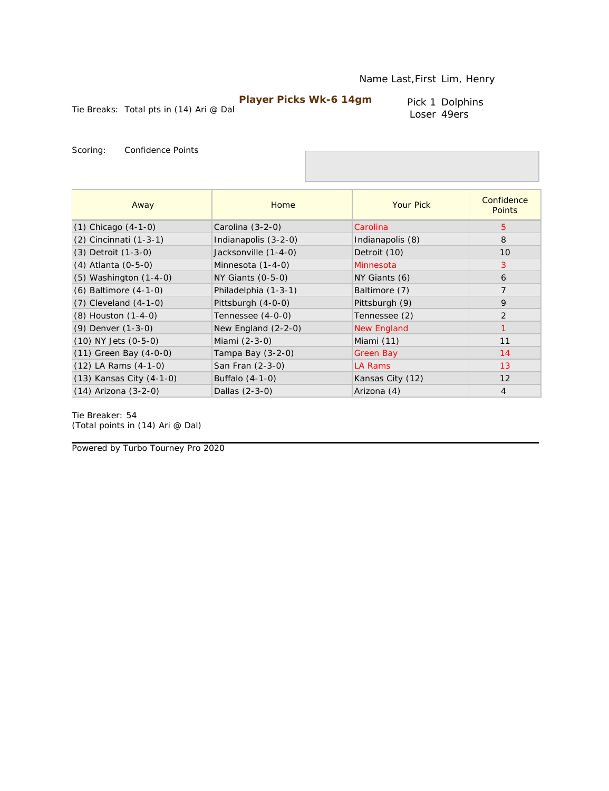Pick 1 Dolphins Loser 49ers

Tie Breaks: Total pts in (14) Ari @ Dal

Scoring: Confidence Points

| Away                       | Home                  | <b>Your Pick</b>   | Confidence<br><b>Points</b> |
|----------------------------|-----------------------|--------------------|-----------------------------|
| $(1)$ Chicago $(4-1-0)$    | Carolina $(3-2-0)$    | Carolina           | $5^{\circ}$                 |
| (2) Cincinnati (1-3-1)     | Indianapolis (3-2-0)  | Indianapolis (8)   | 8                           |
| (3) Detroit (1-3-0)        | Jacksonville (1-4-0)  | Detroit (10)       | 10                          |
| (4) Atlanta (0-5-0)        | Minnesota (1-4-0)     | Minnesota          | 3                           |
| $(5)$ Washington $(1-4-0)$ | $NY$ Giants $(0-5-0)$ | NY Giants (6)      | 6                           |
| (6) Baltimore (4-1-0)      | Philadelphia (1-3-1)  | Baltimore (7)      | $\overline{7}$              |
| $(7)$ Cleveland $(4-1-0)$  | Pittsburgh (4-0-0)    | Pittsburgh (9)     | 9                           |
| (8) Houston (1-4-0)        | Tennessee (4-0-0)     | Tennessee (2)      | $\overline{2}$              |
| $(9)$ Denver $(1-3-0)$     | New England $(2-2-0)$ | <b>New England</b> |                             |
| $(10)$ NY Jets $(0-5-0)$   | Miami (2-3-0)         | Miami (11)         | 11                          |
| $(11)$ Green Bay $(4-0-0)$ | Tampa Bay $(3-2-0)$   | Green Bay          | 14                          |
| $(12)$ LA Rams $(4-1-0)$   | San Fran (2-3-0)      | LA Rams            | 13                          |
| (13) Kansas City (4-1-0)   | Buffalo (4-1-0)       | Kansas City (12)   | 12                          |
| $(14)$ Arizona $(3-2-0)$   | Dallas (2-3-0)        | Arizona (4)        | $\overline{4}$              |

Tie Breaker: 54 *(Total points in (14) Ari @ Dal)*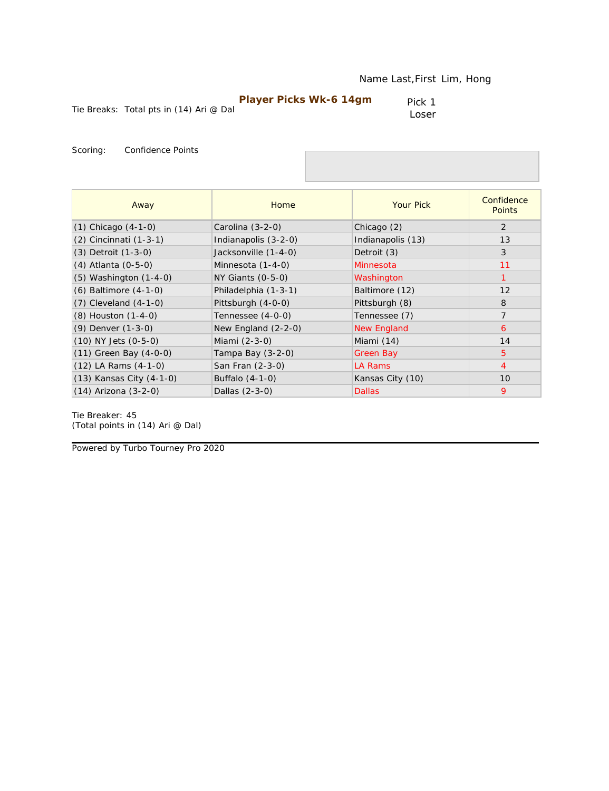| <b>Player Picks Wk-6 14gm</b> |  |
|-------------------------------|--|
|-------------------------------|--|

Pick 1 Loser

Scoring: Confidence Points

| Away                       | Home                  | <b>Your Pick</b>   | Confidence<br><b>Points</b> |
|----------------------------|-----------------------|--------------------|-----------------------------|
| $(1)$ Chicago $(4-1-0)$    | Carolina (3-2-0)      | Chicago (2)        | 2                           |
| (2) Cincinnati (1-3-1)     | Indianapolis (3-2-0)  | Indianapolis (13)  | 13                          |
| (3) Detroit (1-3-0)        | Jacksonville (1-4-0)  | Detroit (3)        | 3                           |
| (4) Atlanta (0-5-0)        | Minnesota (1-4-0)     | Minnesota          | 11                          |
| (5) Washington (1-4-0)     | $NY$ Giants $(0-5-0)$ | Washington         | $\mathbf{1}$                |
| (6) Baltimore (4-1-0)      | Philadelphia (1-3-1)  | Baltimore (12)     | 12                          |
| $(7)$ Cleveland $(4-1-0)$  | Pittsburgh (4-0-0)    | Pittsburgh (8)     | 8                           |
| (8) Houston (1-4-0)        | Tennessee (4-0-0)     | Tennessee (7)      | $\overline{7}$              |
| (9) Denver (1-3-0)         | New England $(2-2-0)$ | <b>New England</b> | 6                           |
| (10) NY Jets (0-5-0)       | Miami (2-3-0)         | Miami (14)         | 14                          |
| $(11)$ Green Bay $(4-0-0)$ | Tampa Bay (3-2-0)     | <b>Green Bay</b>   | 5                           |
| $(12)$ LA Rams $(4-1-0)$   | San Fran (2-3-0)      | LA Rams            | $\overline{4}$              |
| (13) Kansas City (4-1-0)   | Buffalo (4-1-0)       | Kansas City (10)   | 10                          |
| $(14)$ Arizona $(3-2-0)$   | Dallas (2-3-0)        | <b>Dallas</b>      | 9                           |

Tie Breaker: 45 *(Total points in (14) Ari @ Dal)*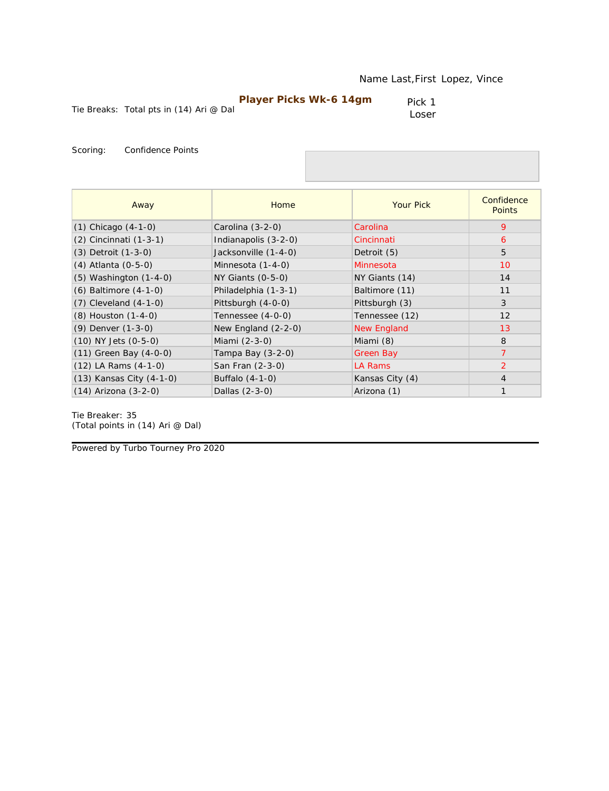| <b>Player Picks Wk-6 14gm</b> |  |
|-------------------------------|--|
|-------------------------------|--|

Pick 1 Loser

Scoring: Confidence Points

| Away                       | Home                  | <b>Your Pick</b>   | Confidence<br><b>Points</b> |
|----------------------------|-----------------------|--------------------|-----------------------------|
| $(1)$ Chicago $(4-1-0)$    | Carolina (3-2-0)      | Carolina           | 9                           |
| (2) Cincinnati (1-3-1)     | Indianapolis (3-2-0)  | Cincinnati         | 6                           |
| (3) Detroit (1-3-0)        | Jacksonville (1-4-0)  | Detroit (5)        | 5                           |
| (4) Atlanta (0-5-0)        | Minnesota (1-4-0)     | Minnesota          | 10                          |
| $(5)$ Washington $(1-4-0)$ | NY Giants (0-5-0)     | NY Giants (14)     | 14                          |
| $(6)$ Baltimore $(4-1-0)$  | Philadelphia (1-3-1)  | Baltimore (11)     | 11                          |
| $(7)$ Cleveland $(4-1-0)$  | Pittsburgh (4-0-0)    | Pittsburgh (3)     | 3                           |
| (8) Houston (1-4-0)        | Tennessee (4-0-0)     | Tennessee (12)     | 12                          |
| (9) Denver (1-3-0)         | New England $(2-2-0)$ | <b>New England</b> | 13                          |
| $(10)$ NY Jets $(0-5-0)$   | Miami (2-3-0)         | Miami (8)          | 8                           |
| $(11)$ Green Bay $(4-0-0)$ | Tampa Bay (3-2-0)     | Green Bay          | $\overline{7}$              |
| $(12)$ LA Rams $(4-1-0)$   | San Fran (2-3-0)      | LA Rams            | 2                           |
| (13) Kansas City (4-1-0)   | Buffalo (4-1-0)       | Kansas City (4)    | $\overline{4}$              |
| $(14)$ Arizona $(3-2-0)$   | Dallas (2-3-0)        | Arizona (1)        | $\mathbf{1}$                |

Tie Breaker: 35 *(Total points in (14) Ari @ Dal)*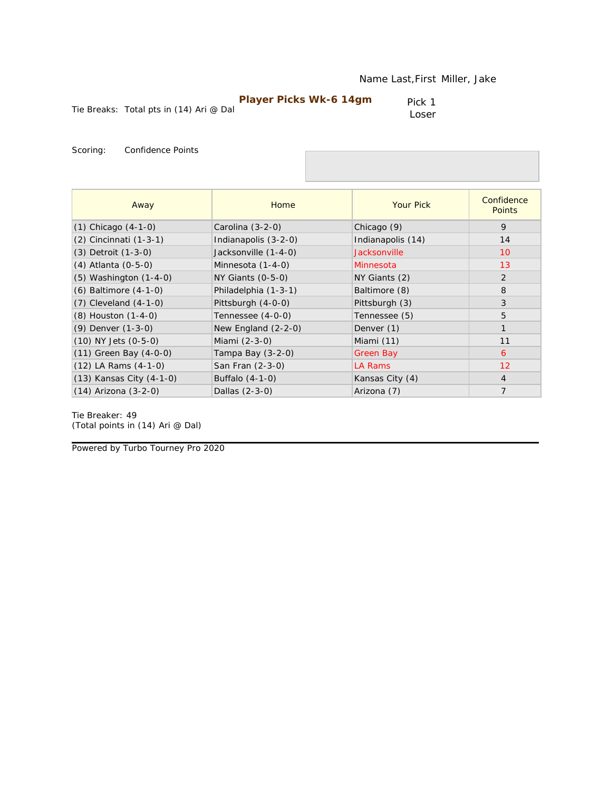| <b>Player Picks Wk-6 14gm</b> |  |
|-------------------------------|--|
|-------------------------------|--|

Pick 1 Loser

Scoring: Confidence Points

| Away                       | Home                  | <b>Your Pick</b>    | Confidence<br><b>Points</b> |
|----------------------------|-----------------------|---------------------|-----------------------------|
| $(1)$ Chicago $(4-1-0)$    | Carolina (3-2-0)      | Chicago (9)         | 9                           |
| (2) Cincinnati (1-3-1)     | Indianapolis (3-2-0)  | Indianapolis (14)   | 14                          |
| (3) Detroit (1-3-0)        | Jacksonville (1-4-0)  | <b>Jacksonville</b> | 10                          |
| (4) Atlanta (0-5-0)        | Minnesota (1-4-0)     | Minnesota           | 13                          |
| (5) Washington (1-4-0)     | $NY$ Giants $(0-5-0)$ | NY Giants (2)       | $\overline{2}$              |
| (6) Baltimore (4-1-0)      | Philadelphia (1-3-1)  | Baltimore (8)       | 8                           |
| $(7)$ Cleveland $(4-1-0)$  | Pittsburgh (4-0-0)    | Pittsburgh (3)      | 3                           |
| (8) Houston (1-4-0)        | Tennessee (4-0-0)     | Tennessee (5)       | 5                           |
| (9) Denver (1-3-0)         | New England (2-2-0)   | Denver (1)          |                             |
| (10) NY Jets (0-5-0)       | Miami $(2-3-0)$       | Miami (11)          | 11                          |
| $(11)$ Green Bay $(4-0-0)$ | Tampa Bay (3-2-0)     | <b>Green Bay</b>    | 6                           |
| $(12)$ LA Rams $(4-1-0)$   | San Fran (2-3-0)      | LA Rams             | 12                          |
| (13) Kansas City (4-1-0)   | Buffalo (4-1-0)       | Kansas City (4)     | $\overline{4}$              |
| $(14)$ Arizona $(3-2-0)$   | Dallas (2-3-0)        | Arizona (7)         | $\overline{7}$              |

Tie Breaker: 49 *(Total points in (14) Ari @ Dal)*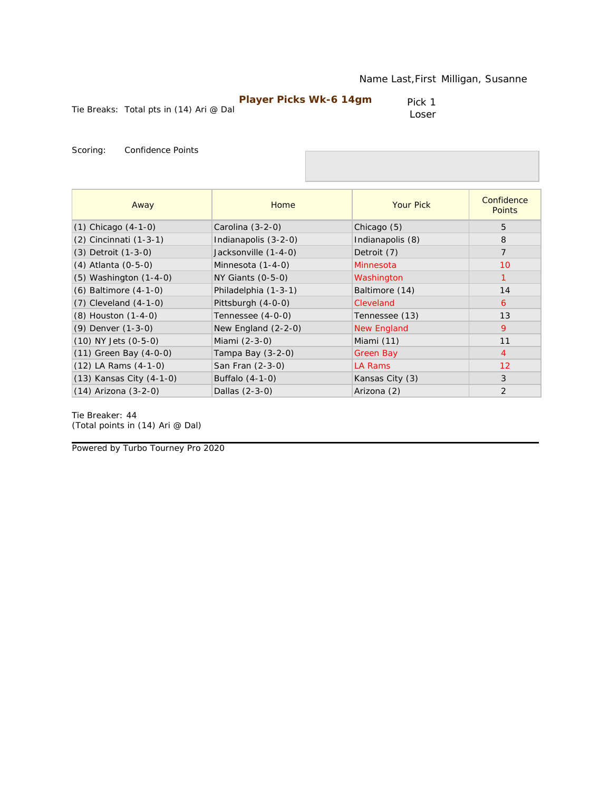Pick 1 Loser

Scoring: Confidence Points

| Away                       | Home                  | <b>Your Pick</b>   | Confidence<br><b>Points</b> |
|----------------------------|-----------------------|--------------------|-----------------------------|
| $(1)$ Chicago $(4-1-0)$    | Carolina (3-2-0)      | Chicago (5)        | 5                           |
| (2) Cincinnati (1-3-1)     | Indianapolis (3-2-0)  | Indianapolis (8)   | 8                           |
| (3) Detroit (1-3-0)        | Jacksonville (1-4-0)  | Detroit (7)        | $\overline{7}$              |
| (4) Atlanta (0-5-0)        | Minnesota (1-4-0)     | Minnesota          | 10                          |
| $(5)$ Washington $(1-4-0)$ | $NY$ Giants $(0-5-0)$ | Washington         | 1                           |
| $(6)$ Baltimore $(4-1-0)$  | Philadelphia (1-3-1)  | Baltimore (14)     | 14                          |
| $(7)$ Cleveland $(4-1-0)$  | Pittsburgh (4-0-0)    | Cleveland          | 6                           |
| (8) Houston (1-4-0)        | Tennessee (4-0-0)     | Tennessee (13)     | 13                          |
| (9) Denver (1-3-0)         | New England (2-2-0)   | <b>New England</b> | 9                           |
| $(10)$ NY Jets $(0-5-0)$   | Miami (2-3-0)         | Miami (11)         | 11                          |
| $(11)$ Green Bay $(4-0-0)$ | Tampa Bay (3-2-0)     | Green Bay          | $\overline{4}$              |
| $(12)$ LA Rams $(4-1-0)$   | San Fran (2-3-0)      | LA Rams            | 12                          |
| (13) Kansas City (4-1-0)   | Buffalo (4-1-0)       | Kansas City (3)    | 3                           |
| $(14)$ Arizona $(3-2-0)$   | Dallas (2-3-0)        | Arizona (2)        | 2                           |

Tie Breaker: 44 *(Total points in (14) Ari @ Dal)*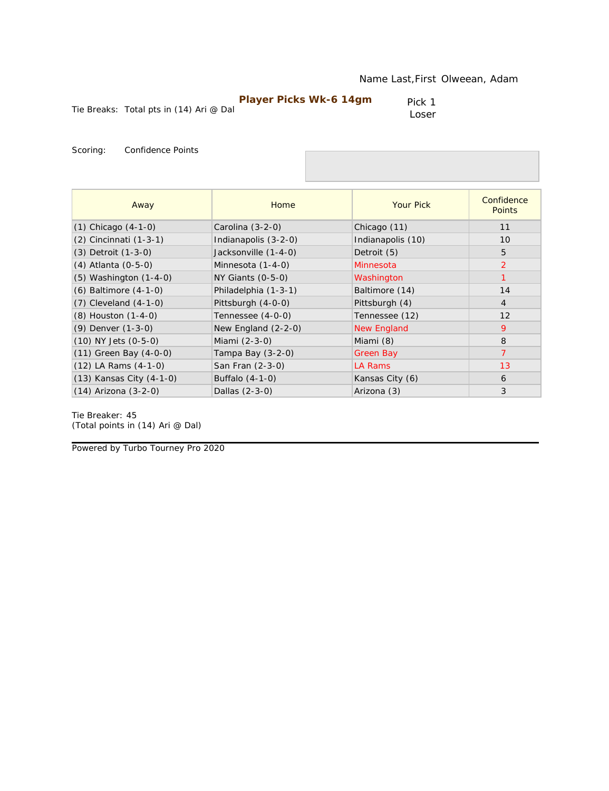| <b>Player Picks Wk-6 14gm</b> |  |
|-------------------------------|--|
|-------------------------------|--|

Pick 1 Loser

Scoring: Confidence Points

| Away                       | Home                 | <b>Your Pick</b>   | Confidence<br><b>Points</b> |
|----------------------------|----------------------|--------------------|-----------------------------|
| $(1)$ Chicago $(4-1-0)$    | Carolina (3-2-0)     | Chicago (11)       | 11                          |
| (2) Cincinnati (1-3-1)     | Indianapolis (3-2-0) | Indianapolis (10)  | 10                          |
| (3) Detroit (1-3-0)        | Jacksonville (1-4-0) | Detroit (5)        | 5                           |
| (4) Atlanta (0-5-0)        | Minnesota (1-4-0)    | Minnesota          | 2                           |
| (5) Washington (1-4-0)     | NY Giants (0-5-0)    | Washington         | $\mathbf{1}$                |
| (6) Baltimore (4-1-0)      | Philadelphia (1-3-1) | Baltimore (14)     | 14                          |
| $(7)$ Cleveland $(4-1-0)$  | Pittsburgh (4-0-0)   | Pittsburgh (4)     | $\overline{4}$              |
| (8) Houston (1-4-0)        | Tennessee (4-0-0)    | Tennessee (12)     | 12                          |
| (9) Denver (1-3-0)         | New England (2-2-0)  | <b>New England</b> | 9                           |
| (10) NY Jets (0-5-0)       | Miami (2-3-0)        | Miami (8)          | 8                           |
| $(11)$ Green Bay $(4-0-0)$ | Tampa Bay (3-2-0)    | <b>Green Bay</b>   | $\overline{7}$              |
| (12) LA Rams (4-1-0)       | San Fran (2-3-0)     | LA Rams            | 13                          |
| (13) Kansas City (4-1-0)   | Buffalo (4-1-0)      | Kansas City (6)    | 6                           |
| (14) Arizona (3-2-0)       | Dallas (2-3-0)       | Arizona (3)        | 3                           |

Tie Breaker: 45 *(Total points in (14) Ari @ Dal)*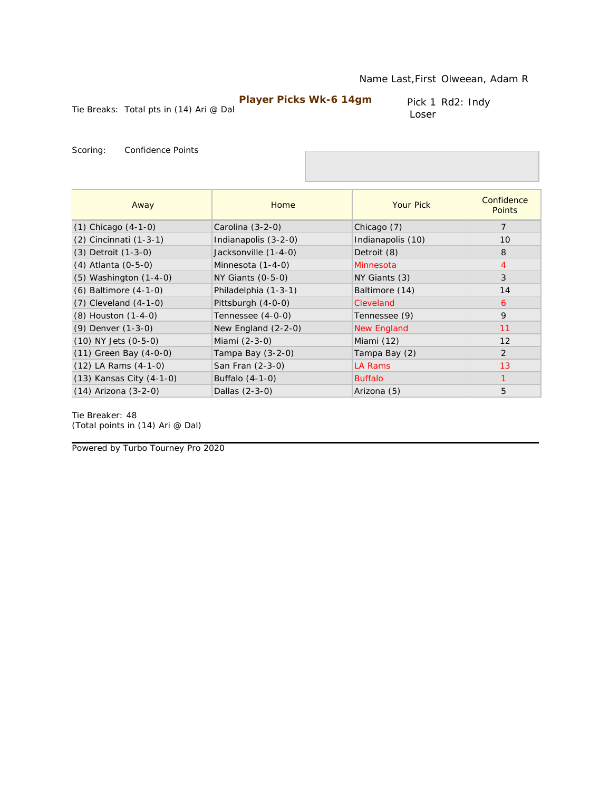Pick 1 Rd2: Indy Loser

Tie Breaks: Total pts in (14) Ari @ Dal

Scoring: Confidence Points

| Away                       | Home                  | <b>Your Pick</b>   | Confidence<br><b>Points</b> |
|----------------------------|-----------------------|--------------------|-----------------------------|
| $(1)$ Chicago $(4-1-0)$    | Carolina $(3-2-0)$    | Chicago (7)        | $\overline{7}$              |
| $(2)$ Cincinnati $(1-3-1)$ | Indianapolis (3-2-0)  | Indianapolis (10)  | 10                          |
| (3) Detroit (1-3-0)        | Jacksonville (1-4-0)  | Detroit (8)        | 8                           |
| (4) Atlanta (0-5-0)        | Minnesota (1-4-0)     | Minnesota          | $\overline{4}$              |
| $(5)$ Washington $(1-4-0)$ | NY Giants (0-5-0)     | NY Giants (3)      | 3                           |
| $(6)$ Baltimore $(4-1-0)$  | Philadelphia (1-3-1)  | Baltimore (14)     | 14                          |
| $(7)$ Cleveland $(4-1-0)$  | Pittsburgh (4-0-0)    | Cleveland          | 6                           |
| (8) Houston (1-4-0)        | Tennessee (4-0-0)     | Tennessee (9)      | 9                           |
| (9) Denver (1-3-0)         | New England $(2-2-0)$ | <b>New England</b> | 11                          |
| $(10)$ NY Jets $(0-5-0)$   | Miami (2-3-0)         | Miami (12)         | 12                          |
| $(11)$ Green Bay $(4-0-0)$ | Tampa Bay (3-2-0)     | Tampa Bay (2)      | $\overline{2}$              |
| $(12)$ LA Rams $(4-1-0)$   | San Fran (2-3-0)      | <b>LA Rams</b>     | 13                          |
| (13) Kansas City (4-1-0)   | Buffalo (4-1-0)       | <b>Buffalo</b>     | 1                           |
| (14) Arizona (3-2-0)       | Dallas (2-3-0)        | Arizona (5)        | 5                           |

Tie Breaker: 48 *(Total points in (14) Ari @ Dal)*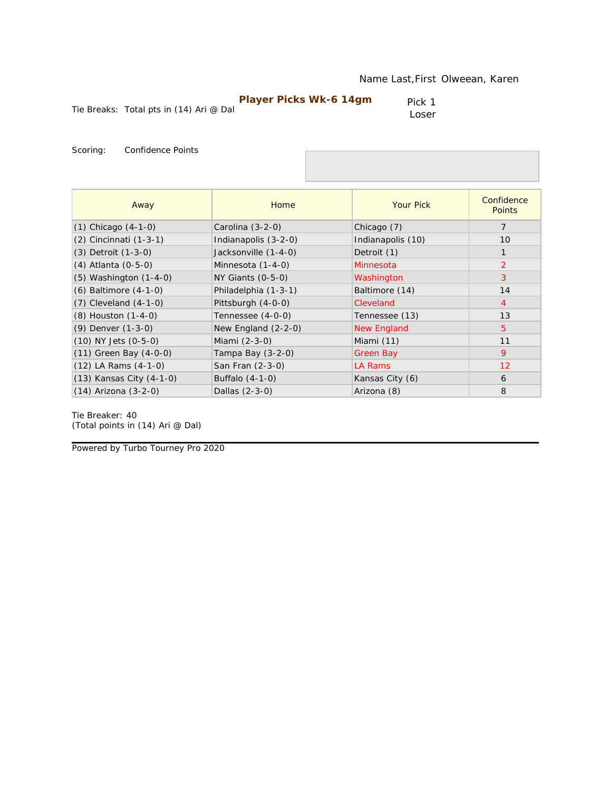| <b>Player Picks Wk-6 14gm</b> |  |
|-------------------------------|--|
|-------------------------------|--|

Pick 1 Loser

Scoring: Confidence Points

| Away                       | Home                  | <b>Your Pick</b>   | Confidence<br><b>Points</b> |
|----------------------------|-----------------------|--------------------|-----------------------------|
| $(1)$ Chicago $(4-1-0)$    | Carolina (3-2-0)      | Chicago (7)        | 7                           |
| (2) Cincinnati (1-3-1)     | Indianapolis (3-2-0)  | Indianapolis (10)  | 10                          |
| $(3)$ Detroit $(1-3-0)$    | Jacksonville (1-4-0)  | Detroit (1)        | $\mathbf{1}$                |
| (4) Atlanta (0-5-0)        | Minnesota (1-4-0)     | Minnesota          | 2                           |
| $(5)$ Washington $(1-4-0)$ | $NY$ Giants $(0-5-0)$ | Washington         | 3                           |
| $(6)$ Baltimore $(4-1-0)$  | Philadelphia (1-3-1)  | Baltimore (14)     | 14                          |
| $(7)$ Cleveland $(4-1-0)$  | Pittsburgh (4-0-0)    | Cleveland          | $\overline{4}$              |
| (8) Houston (1-4-0)        | Tennessee (4-0-0)     | Tennessee (13)     | 13                          |
| (9) Denver (1-3-0)         | New England $(2-2-0)$ | <b>New England</b> | $\overline{5}$              |
| $(10)$ NY Jets $(0-5-0)$   | Miami (2-3-0)         | Miami (11)         | 11                          |
| $(11)$ Green Bay $(4-0-0)$ | Tampa Bay $(3-2-0)$   | Green Bay          | 9                           |
| $(12)$ LA Rams $(4-1-0)$   | San Fran (2-3-0)      | LA Rams            | 12                          |
| (13) Kansas City (4-1-0)   | Buffalo (4-1-0)       | Kansas City (6)    | 6                           |
| $(14)$ Arizona $(3-2-0)$   | Dallas (2-3-0)        | Arizona (8)        | 8                           |

Tie Breaker: 40 *(Total points in (14) Ari @ Dal)*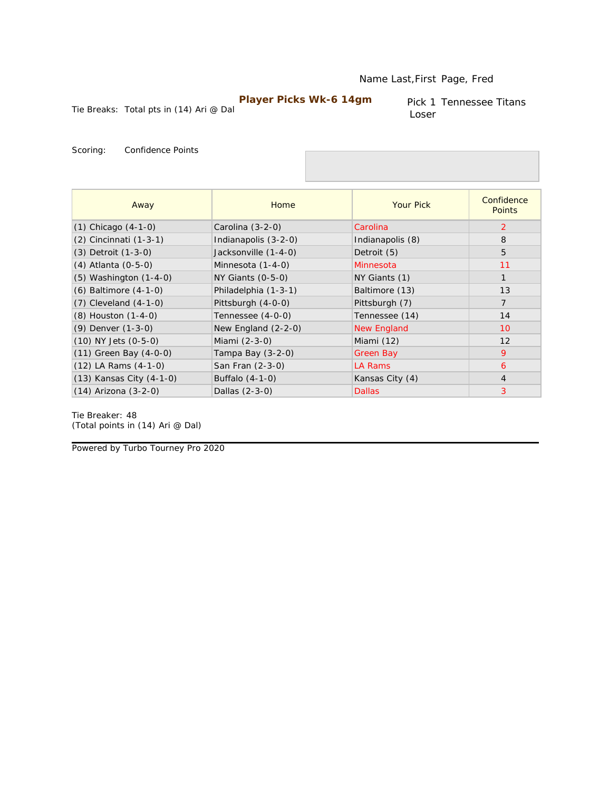#### Name Last,First Page, Fred

## **Player Picks Wk-6 14gm**

Tie Breaks: Total pts in (14) Ari @ Dal

Pick 1 Tennessee Titans Loser

Scoring: Confidence Points

| Away                       | Home                  | <b>Your Pick</b> | Confidence<br><b>Points</b> |
|----------------------------|-----------------------|------------------|-----------------------------|
| $(1)$ Chicago $(4-1-0)$    | Carolina (3-2-0)      | Carolina         | 2                           |
| (2) Cincinnati (1-3-1)     | Indianapolis (3-2-0)  | Indianapolis (8) | 8                           |
| (3) Detroit (1-3-0)        | Jacksonville (1-4-0)  | Detroit (5)      | 5                           |
| (4) Atlanta (0-5-0)        | Minnesota (1-4-0)     | Minnesota        | 11                          |
| $(5)$ Washington $(1-4-0)$ | $NY$ Giants $(0-5-0)$ | NY Giants (1)    | $\mathbf{1}$                |
| (6) Baltimore (4-1-0)      | Philadelphia (1-3-1)  | Baltimore (13)   | 13                          |
| $(7)$ Cleveland $(4-1-0)$  | Pittsburgh (4-0-0)    | Pittsburgh (7)   | $\overline{7}$              |
| (8) Houston (1-4-0)        | Tennessee (4-0-0)     | Tennessee (14)   | 14                          |
| (9) Denver (1-3-0)         | New England $(2-2-0)$ | New England      | 10                          |
| $(10)$ NY Jets $(0-5-0)$   | Miami (2-3-0)         | Miami (12)       | 12                          |
| $(11)$ Green Bay $(4-0-0)$ | Tampa Bay (3-2-0)     | <b>Green Bay</b> | 9                           |
| $(12)$ LA Rams $(4-1-0)$   | San Fran (2-3-0)      | LA Rams          | 6                           |
| (13) Kansas City (4-1-0)   | Buffalo (4-1-0)       | Kansas City (4)  | $\overline{4}$              |
| (14) Arizona (3-2-0)       | Dallas (2-3-0)        | <b>Dallas</b>    | 3                           |

Tie Breaker: 48 *(Total points in (14) Ari @ Dal)*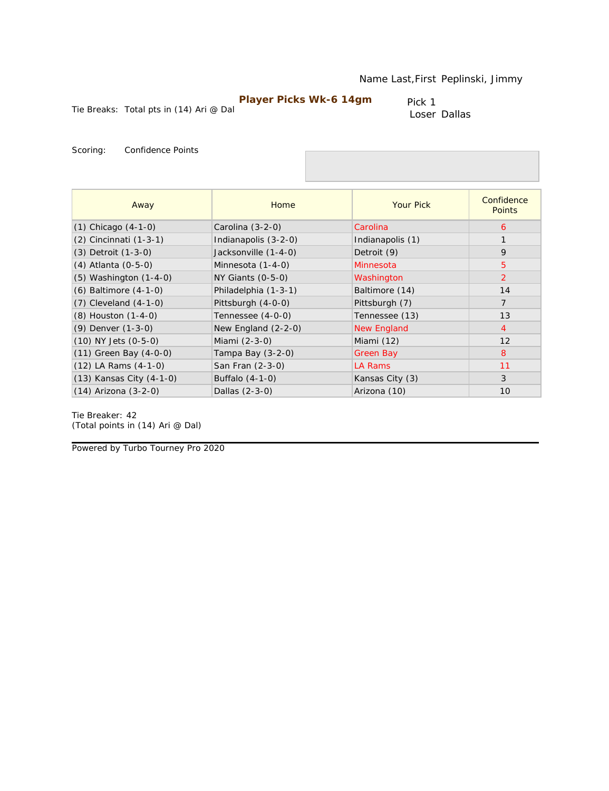Tie Breaks: Total pts in (14) Ari @ Dal

Pick 1 Loser Dallas

Scoring: Confidence Points

| Away                       | Home                  | <b>Your Pick</b> | Confidence<br><b>Points</b> |
|----------------------------|-----------------------|------------------|-----------------------------|
| $(1)$ Chicago $(4-1-0)$    | Carolina (3-2-0)      | Carolina         | 6                           |
| (2) Cincinnati (1-3-1)     | Indianapolis (3-2-0)  | Indianapolis (1) |                             |
| (3) Detroit (1-3-0)        | Jacksonville (1-4-0)  | Detroit (9)      | 9                           |
| (4) Atlanta (0-5-0)        | Minnesota (1-4-0)     | Minnesota        | 5                           |
| $(5)$ Washington $(1-4-0)$ | $NY$ Giants $(0-5-0)$ | Washington       | $\overline{2}$              |
| $(6)$ Baltimore $(4-1-0)$  | Philadelphia (1-3-1)  | Baltimore (14)   | 14                          |
| $(7)$ Cleveland $(4-1-0)$  | Pittsburgh (4-0-0)    | Pittsburgh (7)   | $\overline{7}$              |
| (8) Houston (1-4-0)        | Tennessee (4-0-0)     | Tennessee (13)   | 13                          |
| (9) Denver (1-3-0)         | New England $(2-2-0)$ | New England      | $\overline{4}$              |
| $(10)$ NY Jets $(0-5-0)$   | Miami (2-3-0)         | Miami (12)       | 12                          |
| (11) Green Bay (4-0-0)     | Tampa Bay (3-2-0)     | Green Bay        | 8                           |
| $(12)$ LA Rams $(4-1-0)$   | San Fran (2-3-0)      | LA Rams          | 11                          |
| (13) Kansas City (4-1-0)   | Buffalo (4-1-0)       | Kansas City (3)  | 3                           |
| $(14)$ Arizona $(3-2-0)$   | Dallas (2-3-0)        | Arizona (10)     | 10                          |

Tie Breaker: 42 *(Total points in (14) Ari @ Dal)*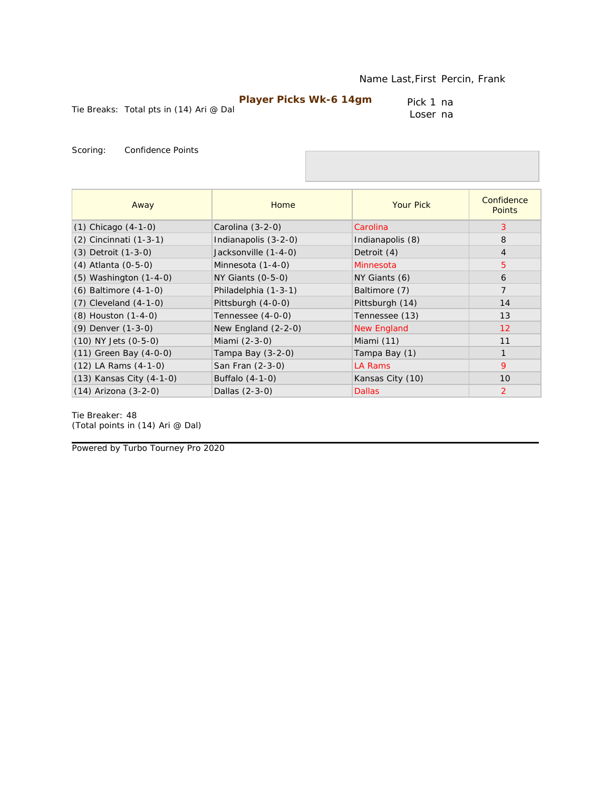Tie Breaks: Total pts in (14) Ari @ Dal

Pick 1 na Loser na

Scoring: Confidence Points

| Away                       | Home                  | <b>Your Pick</b>   | Confidence<br><b>Points</b> |
|----------------------------|-----------------------|--------------------|-----------------------------|
| $(1)$ Chicago $(4-1-0)$    | Carolina $(3-2-0)$    | Carolina           | 3                           |
| (2) Cincinnati (1-3-1)     | Indianapolis (3-2-0)  | Indianapolis (8)   | 8                           |
| $(3)$ Detroit $(1-3-0)$    | Jacksonville (1-4-0)  | Detroit (4)        | $\overline{4}$              |
| (4) Atlanta (0-5-0)        | Minnesota (1-4-0)     | Minnesota          | 5                           |
| $(5)$ Washington $(1-4-0)$ | $NY$ Giants $(0-5-0)$ | NY Giants (6)      | 6                           |
| $(6)$ Baltimore $(4-1-0)$  | Philadelphia (1-3-1)  | Baltimore (7)      | $\overline{7}$              |
| $(7)$ Cleveland $(4-1-0)$  | Pittsburgh (4-0-0)    | Pittsburgh (14)    | 14                          |
| (8) Houston (1-4-0)        | Tennessee (4-0-0)     | Tennessee (13)     | 13                          |
| (9) Denver (1-3-0)         | New England $(2-2-0)$ | <b>New England</b> | 12                          |
| $(10)$ NY Jets $(0-5-0)$   | Miami (2-3-0)         | Miami (11)         | 11                          |
| $(11)$ Green Bay $(4-0-0)$ | Tampa Bay $(3-2-0)$   | Tampa Bay (1)      | 1                           |
| $(12)$ LA Rams $(4-1-0)$   | San Fran (2-3-0)      | LA Rams            | 9                           |
| (13) Kansas City (4-1-0)   | Buffalo (4-1-0)       | Kansas City (10)   | 10                          |
| $(14)$ Arizona $(3-2-0)$   | Dallas (2-3-0)        | <b>Dallas</b>      | $\overline{2}$              |

Tie Breaker: 48 *(Total points in (14) Ari @ Dal)*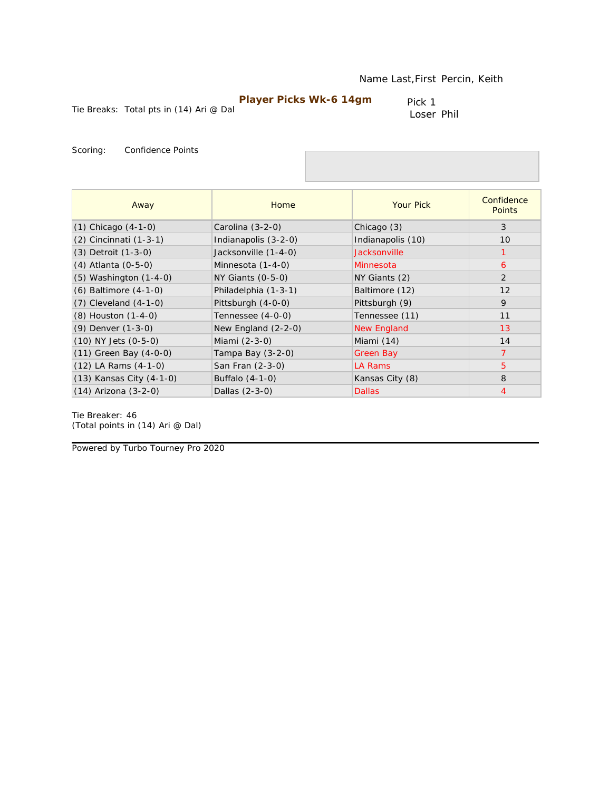Tie Breaks: Total pts in (14) Ari @ Dal

Pick 1 Loser Phil

Scoring: Confidence Points

| Away                       | Home                  | <b>Your Pick</b>   | Confidence<br><b>Points</b> |
|----------------------------|-----------------------|--------------------|-----------------------------|
| $(1)$ Chicago $(4-1-0)$    | Carolina (3-2-0)      | Chicago (3)        | 3                           |
| (2) Cincinnati (1-3-1)     | Indianapolis (3-2-0)  | Indianapolis (10)  | 10                          |
| (3) Detroit (1-3-0)        | Jacksonville (1-4-0)  | Jacksonville       | 1                           |
| (4) Atlanta (0-5-0)        | Minnesota (1-4-0)     | Minnesota          | 6                           |
| $(5)$ Washington $(1-4-0)$ | $NY$ Giants $(0-5-0)$ | NY Giants (2)      | 2                           |
| (6) Baltimore (4-1-0)      | Philadelphia (1-3-1)  | Baltimore (12)     | 12                          |
| $(7)$ Cleveland $(4-1-0)$  | Pittsburgh (4-0-0)    | Pittsburgh (9)     | 9                           |
| (8) Houston (1-4-0)        | Tennessee (4-0-0)     | Tennessee (11)     | 11                          |
| (9) Denver (1-3-0)         | New England $(2-2-0)$ | <b>New England</b> | 13                          |
| $(10)$ NY Jets $(0-5-0)$   | Miami (2-3-0)         | Miami (14)         | 14                          |
| $(11)$ Green Bay $(4-0-0)$ | Tampa Bay $(3-2-0)$   | Green Bay          | 7                           |
| $(12)$ LA Rams $(4-1-0)$   | San Fran (2-3-0)      | LA Rams            | 5                           |
| (13) Kansas City (4-1-0)   | Buffalo (4-1-0)       | Kansas City (8)    | 8                           |
| $(14)$ Arizona $(3-2-0)$   | Dallas (2-3-0)        | <b>Dallas</b>      | $\overline{4}$              |

Tie Breaker: 46 *(Total points in (14) Ari @ Dal)*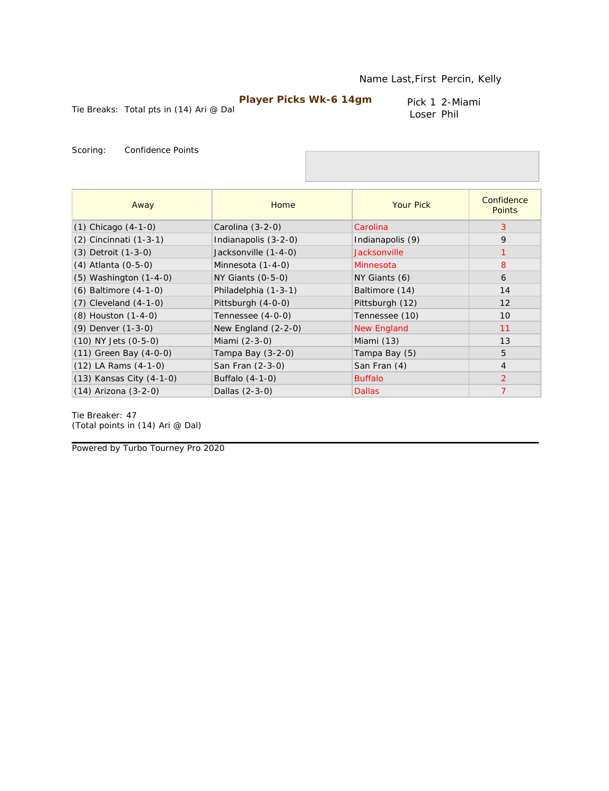Pick 1 2-Miami Loser Phil

Tie Breaks: Total pts in (14) Ari @ Dal

Scoring: Confidence Points

| Away                       | Home                  | <b>Your Pick</b>    | Confidence<br><b>Points</b> |
|----------------------------|-----------------------|---------------------|-----------------------------|
| $(1)$ Chicago $(4-1-0)$    | Carolina (3-2-0)      | Carolina            | 3                           |
| $(2)$ Cincinnati $(1-3-1)$ | Indianapolis (3-2-0)  | Indianapolis (9)    | 9                           |
| $(3)$ Detroit $(1-3-0)$    | Jacksonville (1-4-0)  | <b>Jacksonville</b> | 1                           |
| $(4)$ Atlanta $(0-5-0)$    | Minnesota (1-4-0)     | Minnesota           | 8                           |
| $(5)$ Washington $(1-4-0)$ | NY Giants (0-5-0)     | NY Giants (6)       | 6                           |
| $(6)$ Baltimore $(4-1-0)$  | Philadelphia (1-3-1)  | Baltimore (14)      | 14                          |
| $(7)$ Cleveland $(4-1-0)$  | Pittsburgh (4-0-0)    | Pittsburgh (12)     | 12                          |
| (8) Houston (1-4-0)        | Tennessee (4-0-0)     | Tennessee (10)      | 10                          |
| (9) Denver (1-3-0)         | New England $(2-2-0)$ | <b>New England</b>  | 11                          |
| $(10)$ NY Jets $(0-5-0)$   | Miami (2-3-0)         | Miami (13)          | 13                          |
| $(11)$ Green Bay $(4-0-0)$ | Tampa Bay (3-2-0)     | Tampa Bay (5)       | 5                           |
| $(12)$ LA Rams $(4-1-0)$   | San Fran (2-3-0)      | San Fran (4)        | $\overline{4}$              |
| (13) Kansas City (4-1-0)   | Buffalo (4-1-0)       | <b>Buffalo</b>      | 2                           |
| (14) Arizona (3-2-0)       | Dallas (2-3-0)        | <b>Dallas</b>       | $\overline{7}$              |

Tie Breaker: 47 *(Total points in (14) Ari @ Dal)*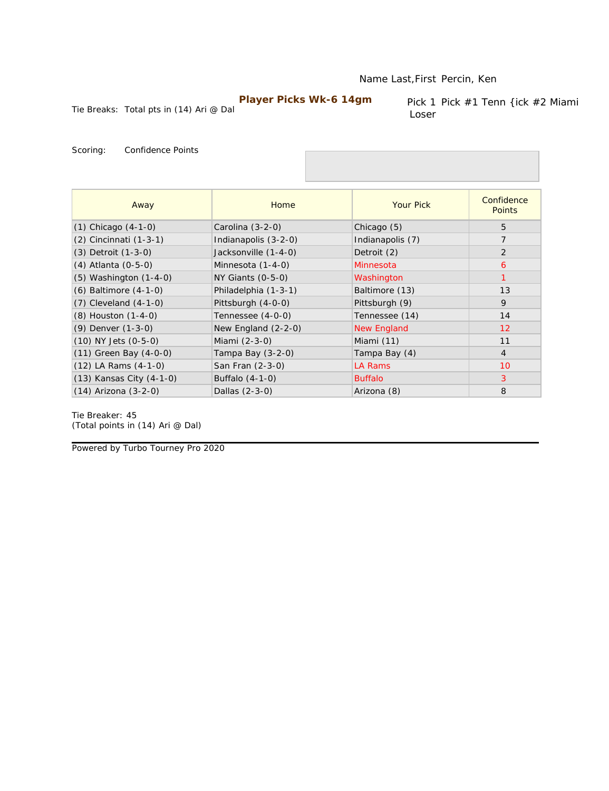#### Name Last,First Percin, Ken

# **Player Picks Wk-6 14gm**

Tie Breaks: Total pts in (14) Ari @ Dal

Pick 1 Pick #1 Tenn {ick #2 Miami Loser

Scoring: Confidence Points

| Away                       | Home                  | <b>Your Pick</b>   | Confidence<br><b>Points</b> |
|----------------------------|-----------------------|--------------------|-----------------------------|
| $(1)$ Chicago $(4-1-0)$    | Carolina (3-2-0)      | Chicago (5)        | 5                           |
| (2) Cincinnati (1-3-1)     | Indianapolis (3-2-0)  | Indianapolis (7)   | $\overline{7}$              |
| $(3)$ Detroit $(1-3-0)$    | Jacksonville (1-4-0)  | Detroit (2)        | 2                           |
| (4) Atlanta (0-5-0)        | Minnesota (1-4-0)     | Minnesota          | 6                           |
| $(5)$ Washington $(1-4-0)$ | $NY$ Giants $(0-5-0)$ | Washington         |                             |
| $(6)$ Baltimore $(4-1-0)$  | Philadelphia (1-3-1)  | Baltimore (13)     | 13                          |
| $(7)$ Cleveland $(4-1-0)$  | Pittsburgh (4-0-0)    | Pittsburgh (9)     | 9                           |
| (8) Houston (1-4-0)        | Tennessee (4-0-0)     | Tennessee (14)     | 14                          |
| $(9)$ Denver $(1-3-0)$     | New England (2-2-0)   | <b>New England</b> | 12                          |
| (10) NY Jets (0-5-0)       | Miami (2-3-0)         | Miami (11)         | 11                          |
| $(11)$ Green Bay $(4-0-0)$ | Tampa Bay $(3-2-0)$   | Tampa Bay (4)      | $\overline{4}$              |
| $(12)$ LA Rams $(4-1-0)$   | San Fran (2-3-0)      | LA Rams            | 10                          |
| (13) Kansas City (4-1-0)   | Buffalo (4-1-0)       | <b>Buffalo</b>     | 3                           |
| $(14)$ Arizona $(3-2-0)$   | Dallas (2-3-0)        | Arizona (8)        | 8                           |

Tie Breaker: 45 *(Total points in (14) Ari @ Dal)*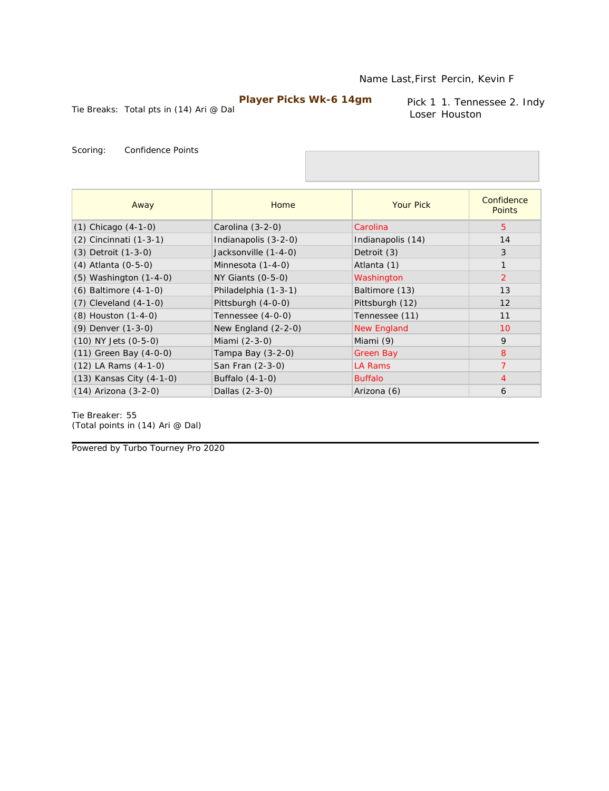Tie Breaks: Total pts in (14) Ari @ Dal

Pick 1 1. Tennessee 2. Indy Loser Houston

Scoring: Confidence Points

| Away                       | Home                  | <b>Your Pick</b>   | Confidence<br><b>Points</b> |
|----------------------------|-----------------------|--------------------|-----------------------------|
| $(1)$ Chicago $(4-1-0)$    | Carolina $(3-2-0)$    | Carolina           | $5^{\circ}$                 |
| $(2)$ Cincinnati $(1-3-1)$ | Indianapolis (3-2-0)  | Indianapolis (14)  | 14                          |
| $(3)$ Detroit $(1-3-0)$    | Jacksonville (1-4-0)  | Detroit (3)        | 3                           |
| (4) Atlanta (0-5-0)        | Minnesota (1-4-0)     | Atlanta (1)        | $\mathbf{1}$                |
| $(5)$ Washington $(1-4-0)$ | NY Giants (0-5-0)     | Washington         | $\overline{2}$              |
| $(6)$ Baltimore $(4-1-0)$  | Philadelphia (1-3-1)  | Baltimore (13)     | 13                          |
| $(7)$ Cleveland $(4-1-0)$  | Pittsburgh (4-0-0)    | Pittsburgh (12)    | 12                          |
| (8) Houston (1-4-0)        | Tennessee (4-0-0)     | Tennessee (11)     | 11                          |
| (9) Denver (1-3-0)         | New England $(2-2-0)$ | <b>New England</b> | 10                          |
| $(10)$ NY Jets $(0-5-0)$   | Miami (2-3-0)         | Miami (9)          | 9                           |
| $(11)$ Green Bay $(4-0-0)$ | Tampa Bay (3-2-0)     | <b>Green Bay</b>   | 8                           |
| $(12)$ LA Rams $(4-1-0)$   | San Fran (2-3-0)      | <b>LA Rams</b>     | $\overline{7}$              |
| (13) Kansas City (4-1-0)   | Buffalo (4-1-0)       | <b>Buffalo</b>     | $\overline{4}$              |
| $(14)$ Arizona $(3-2-0)$   | Dallas (2-3-0)        | Arizona (6)        | 6                           |

Tie Breaker: 55 *(Total points in (14) Ari @ Dal)*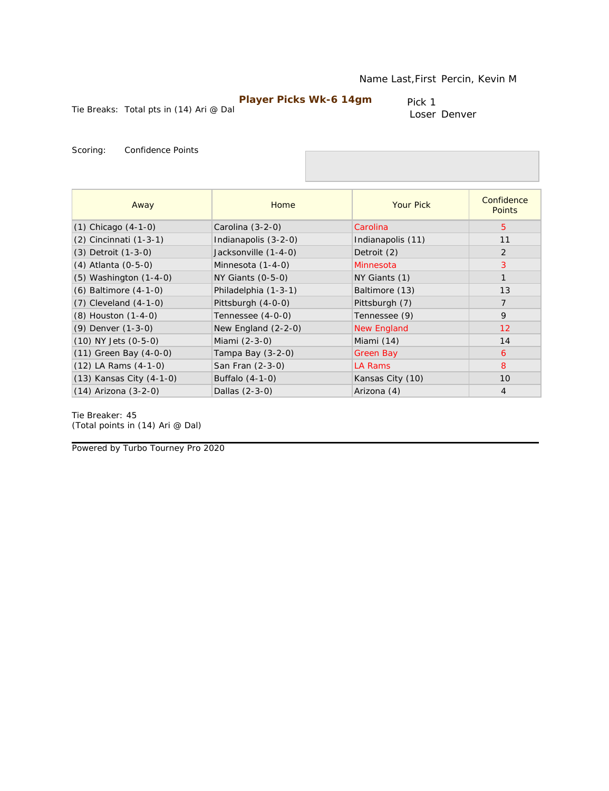Tie Breaks: Total pts in (14) Ari @ Dal

Pick 1 Loser Denver

Scoring: Confidence Points

| Away                       | Home                  | <b>Your Pick</b>  | Confidence<br><b>Points</b> |
|----------------------------|-----------------------|-------------------|-----------------------------|
| $(1)$ Chicago $(4-1-0)$    | Carolina (3-2-0)      | Carolina          | 5                           |
| (2) Cincinnati (1-3-1)     | Indianapolis (3-2-0)  | Indianapolis (11) | 11                          |
| (3) Detroit (1-3-0)        | Jacksonville (1-4-0)  | Detroit (2)       | 2                           |
| (4) Atlanta (0-5-0)        | Minnesota (1-4-0)     | Minnesota         | 3                           |
| $(5)$ Washington $(1-4-0)$ | $NY$ Giants $(0-5-0)$ | NY Giants (1)     | $\mathbf{1}$                |
| $(6)$ Baltimore $(4-1-0)$  | Philadelphia (1-3-1)  | Baltimore (13)    | 13                          |
| $(7)$ Cleveland $(4-1-0)$  | Pittsburgh (4-0-0)    | Pittsburgh (7)    | $\overline{7}$              |
| (8) Houston (1-4-0)        | Tennessee (4-0-0)     | Tennessee (9)     | $\mathsf{Q}$                |
| (9) Denver (1-3-0)         | New England $(2-2-0)$ | New England       | 12                          |
| $(10)$ NY Jets $(0-5-0)$   | Miami (2-3-0)         | Miami (14)        | 14                          |
| $(11)$ Green Bay $(4-0-0)$ | Tampa Bay $(3-2-0)$   | Green Bay         | 6                           |
| $(12)$ LA Rams $(4-1-0)$   | San Fran (2-3-0)      | LA Rams           | 8                           |
| (13) Kansas City (4-1-0)   | Buffalo (4-1-0)       | Kansas City (10)  | 10                          |
| $(14)$ Arizona $(3-2-0)$   | Dallas (2-3-0)        | Arizona (4)       | $\overline{4}$              |

Tie Breaker: 45 *(Total points in (14) Ari @ Dal)*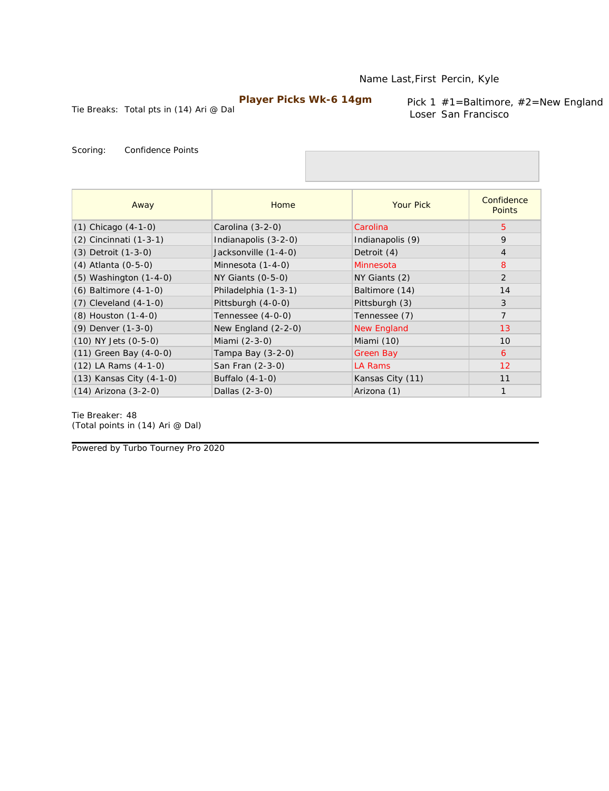Tie Breaks: Total pts in (14) Ari @ Dal

Pick 1 #1=Baltimore, #2=New England Loser San Francisco

Scoring: Confidence Points

| Away                       | Home                  | <b>Your Pick</b>   | Confidence<br><b>Points</b> |
|----------------------------|-----------------------|--------------------|-----------------------------|
| $(1)$ Chicago $(4-1-0)$    | Carolina (3-2-0)      | Carolina           | 5                           |
| (2) Cincinnati (1-3-1)     | Indianapolis (3-2-0)  | Indianapolis (9)   | 9                           |
| $(3)$ Detroit $(1-3-0)$    | Jacksonville (1-4-0)  | Detroit (4)        | $\overline{4}$              |
| (4) Atlanta (0-5-0)        | Minnesota (1-4-0)     | Minnesota          | 8                           |
| $(5)$ Washington $(1-4-0)$ | $NY$ Giants $(0-5-0)$ | NY Giants (2)      | 2                           |
| $(6)$ Baltimore $(4-1-0)$  | Philadelphia (1-3-1)  | Baltimore (14)     | 14                          |
| $(7)$ Cleveland $(4-1-0)$  | Pittsburgh (4-0-0)    | Pittsburgh (3)     | 3                           |
| (8) Houston (1-4-0)        | Tennessee (4-0-0)     | Tennessee (7)      | $\overline{7}$              |
| (9) Denver (1-3-0)         | New England (2-2-0)   | <b>New England</b> | 13                          |
| $(10)$ NY Jets $(0-5-0)$   | Miami (2-3-0)         | Miami (10)         | 10                          |
| (11) Green Bay (4-0-0)     | Tampa Bay (3-2-0)     | <b>Green Bay</b>   | 6                           |
| $(12)$ LA Rams $(4-1-0)$   | San Fran (2-3-0)      | LA Rams            | 12                          |
| (13) Kansas City (4-1-0)   | Buffalo (4-1-0)       | Kansas City (11)   | 11                          |
| $(14)$ Arizona $(3-2-0)$   | Dallas (2-3-0)        | Arizona (1)        | $\mathbf{1}$                |

Tie Breaker: 48 *(Total points in (14) Ari @ Dal)*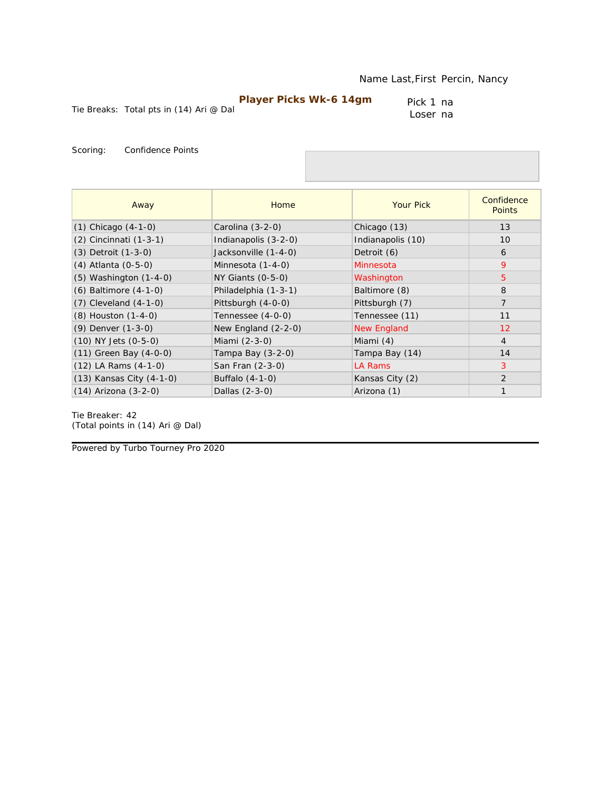Tie Breaks: Total pts in (14) Ari @ Dal

Pick 1 na Loser na

Scoring: Confidence Points

| Away                       | Home                  | <b>Your Pick</b>  | Confidence<br><b>Points</b> |
|----------------------------|-----------------------|-------------------|-----------------------------|
| $(1)$ Chicago $(4-1-0)$    | Carolina (3-2-0)      | Chicago (13)      | 13                          |
| (2) Cincinnati (1-3-1)     | Indianapolis (3-2-0)  | Indianapolis (10) | 10                          |
| $(3)$ Detroit $(1-3-0)$    | Jacksonville (1-4-0)  | Detroit (6)       | 6                           |
| $(4)$ Atlanta $(0-5-0)$    | Minnesota (1-4-0)     | Minnesota         | 9                           |
| $(5)$ Washington $(1-4-0)$ | NY Giants (0-5-0)     | Washington        | 5                           |
| $(6)$ Baltimore $(4-1-0)$  | Philadelphia (1-3-1)  | Baltimore (8)     | 8                           |
| $(7)$ Cleveland $(4-1-0)$  | Pittsburgh (4-0-0)    | Pittsburgh (7)    | $\overline{7}$              |
| (8) Houston (1-4-0)        | Tennessee (4-0-0)     | Tennessee (11)    | 11                          |
| $(9)$ Denver $(1-3-0)$     | New England $(2-2-0)$ | New England       | 12                          |
| $(10)$ NY Jets $(0-5-0)$   | Miami (2-3-0)         | Miami (4)         | $\overline{4}$              |
| (11) Green Bay (4-0-0)     | Tampa Bay (3-2-0)     | Tampa Bay (14)    | 14                          |
| $(12)$ LA Rams $(4-1-0)$   | San Fran (2-3-0)      | LA Rams           | 3                           |
| (13) Kansas City (4-1-0)   | Buffalo (4-1-0)       | Kansas City (2)   | 2                           |
| $(14)$ Arizona $(3-2-0)$   | Dallas (2-3-0)        | Arizona (1)       | 1                           |

Tie Breaker: 42 *(Total points in (14) Ari @ Dal)*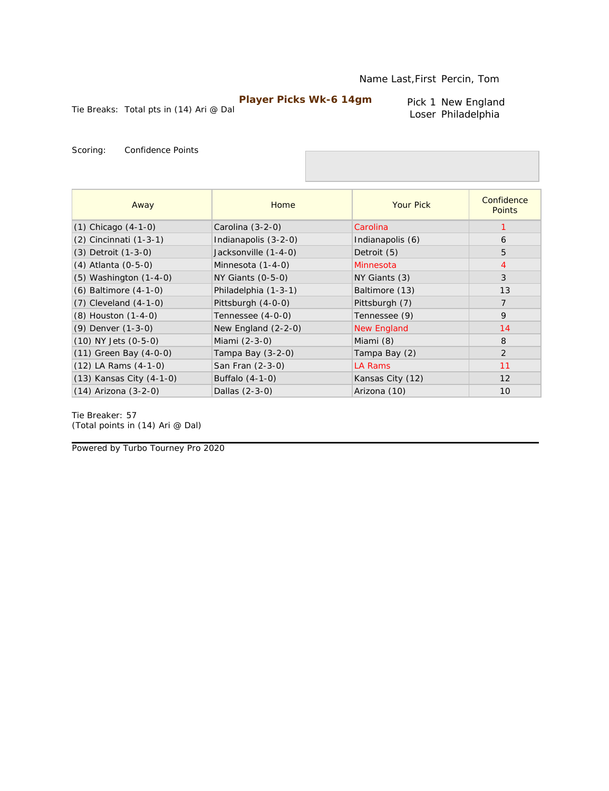Pick 1 New England Loser Philadelphia

Tie Breaks: Total pts in (14) Ari @ Dal

Scoring: Confidence Points

| Away                       | Home                  | <b>Your Pick</b>   | Confidence<br><b>Points</b> |
|----------------------------|-----------------------|--------------------|-----------------------------|
| $(1)$ Chicago $(4-1-0)$    | Carolina (3-2-0)      | Carolina           |                             |
| $(2)$ Cincinnati $(1-3-1)$ | Indianapolis (3-2-0)  | Indianapolis (6)   | 6                           |
| $(3)$ Detroit $(1-3-0)$    | Jacksonville (1-4-0)  | Detroit (5)        | 5                           |
| $(4)$ Atlanta $(0-5-0)$    | Minnesota (1-4-0)     | Minnesota          | $\overline{4}$              |
| $(5)$ Washington $(1-4-0)$ | NY Giants (0-5-0)     | NY Giants (3)      | 3                           |
| $(6)$ Baltimore $(4-1-0)$  | Philadelphia (1-3-1)  | Baltimore (13)     | 13                          |
| $(7)$ Cleveland $(4-1-0)$  | Pittsburgh (4-0-0)    | Pittsburgh (7)     | $\overline{7}$              |
| (8) Houston (1-4-0)        | Tennessee (4-0-0)     | Tennessee (9)      | $\mathsf{Q}$                |
| $(9)$ Denver $(1-3-0)$     | New England $(2-2-0)$ | <b>New England</b> | 14                          |
| $(10)$ NY Jets $(0-5-0)$   | Miami (2-3-0)         | Miami (8)          | 8                           |
| $(11)$ Green Bay $(4-0-0)$ | Tampa Bay (3-2-0)     | Tampa Bay (2)      | $\overline{2}$              |
| $(12)$ LA Rams $(4-1-0)$   | San Fran (2-3-0)      | LA Rams            | 11                          |
| (13) Kansas City (4-1-0)   | Buffalo (4-1-0)       | Kansas City (12)   | 12                          |
| $(14)$ Arizona $(3-2-0)$   | Dallas (2-3-0)        | Arizona (10)       | 10                          |

Tie Breaker: 57 *(Total points in (14) Ari @ Dal)*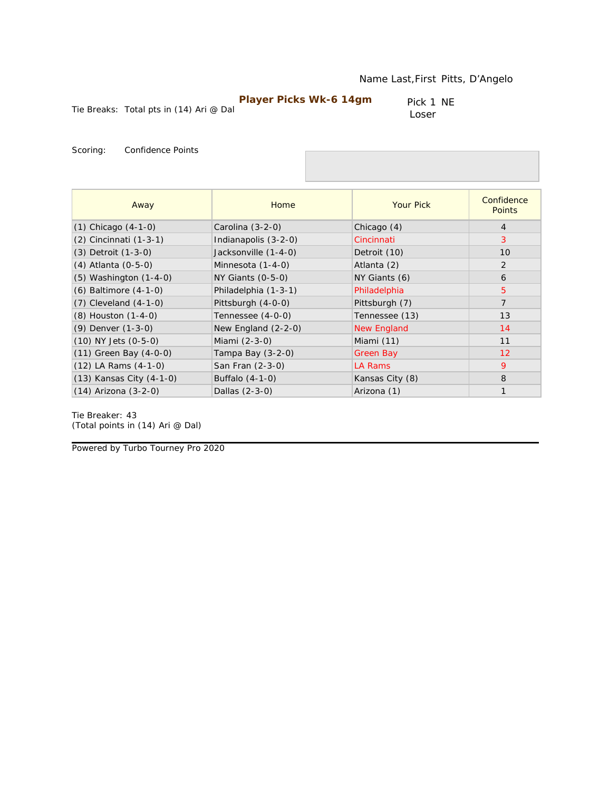Tie Breaks: Total pts in (14) Ari @ Dal

Pick 1 NE Loser

Scoring: Confidence Points

| Away                       | Home                  | <b>Your Pick</b>   | Confidence<br><b>Points</b> |
|----------------------------|-----------------------|--------------------|-----------------------------|
| $(1)$ Chicago $(4-1-0)$    | Carolina (3-2-0)      | Chicago (4)        | $\overline{4}$              |
| (2) Cincinnati (1-3-1)     | Indianapolis (3-2-0)  | Cincinnati         | 3                           |
| $(3)$ Detroit $(1-3-0)$    | Jacksonville (1-4-0)  | Detroit (10)       | 10                          |
| (4) Atlanta (0-5-0)        | Minnesota (1-4-0)     | Atlanta (2)        | 2                           |
| $(5)$ Washington $(1-4-0)$ | $NY$ Giants $(0-5-0)$ | NY Giants (6)      | 6                           |
| (6) Baltimore (4-1-0)      | Philadelphia (1-3-1)  | Philadelphia       | 5                           |
| $(7)$ Cleveland $(4-1-0)$  | Pittsburgh (4-0-0)    | Pittsburgh (7)     | $\overline{7}$              |
| (8) Houston (1-4-0)        | Tennessee (4-0-0)     | Tennessee (13)     | 13                          |
| (9) Denver (1-3-0)         | New England $(2-2-0)$ | <b>New England</b> | 14                          |
| $(10)$ NY Jets $(0-5-0)$   | Miami (2-3-0)         | Miami (11)         | 11                          |
| $(11)$ Green Bay $(4-0-0)$ | Tampa Bay $(3-2-0)$   | Green Bay          | 12                          |
| $(12)$ LA Rams $(4-1-0)$   | San Fran (2-3-0)      | LA Rams            | 9                           |
| (13) Kansas City (4-1-0)   | Buffalo (4-1-0)       | Kansas City (8)    | 8                           |
| (14) Arizona (3-2-0)       | Dallas (2-3-0)        | Arizona (1)        | $\mathbf{1}$                |

Tie Breaker: 43 *(Total points in (14) Ari @ Dal)*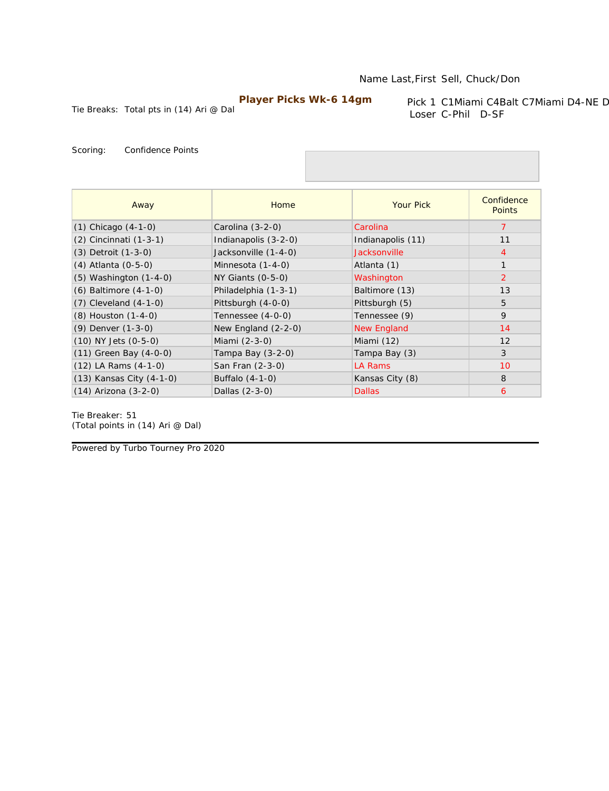Tie Breaks: Total pts in (14) Ari @ Dal

Pick 1 C1Miami C4Balt C7Miami D4-NE D Loser C-Phil D-SF

Scoring: Confidence Points

| Away                       | Home                 | <b>Your Pick</b>   | Confidence<br><b>Points</b> |
|----------------------------|----------------------|--------------------|-----------------------------|
| $(1)$ Chicago $(4-1-0)$    | Carolina (3-2-0)     | Carolina           | 7                           |
| (2) Cincinnati (1-3-1)     | Indianapolis (3-2-0) | Indianapolis (11)  | 11                          |
| $(3)$ Detroit $(1-3-0)$    | Jacksonville (1-4-0) | Jacksonville       | 4                           |
| (4) Atlanta (0-5-0)        | Minnesota (1-4-0)    | Atlanta (1)        | $\mathbf{1}$                |
| $(5)$ Washington $(1-4-0)$ | NY Giants (0-5-0)    | Washington         | 2                           |
| (6) Baltimore (4-1-0)      | Philadelphia (1-3-1) | Baltimore (13)     | 13                          |
| $(7)$ Cleveland $(4-1-0)$  | Pittsburgh (4-0-0)   | Pittsburgh (5)     | 5                           |
| (8) Houston (1-4-0)        | Tennessee (4-0-0)    | Tennessee (9)      | 9                           |
| (9) Denver (1-3-0)         | New England (2-2-0)  | <b>New England</b> | 14                          |
| $(10)$ NY Jets $(0-5-0)$   | Miami (2-3-0)        | Miami (12)         | 12                          |
| (11) Green Bay (4-0-0)     | Tampa Bay (3-2-0)    | Tampa Bay (3)      | 3                           |
| $(12)$ LA Rams $(4-1-0)$   | San Fran (2-3-0)     | LA Rams            | 10                          |
| (13) Kansas City (4-1-0)   | Buffalo (4-1-0)      | Kansas City (8)    | 8                           |
| $(14)$ Arizona $(3-2-0)$   | Dallas (2-3-0)       | <b>Dallas</b>      | 6                           |

Tie Breaker: 51 *(Total points in (14) Ari @ Dal)*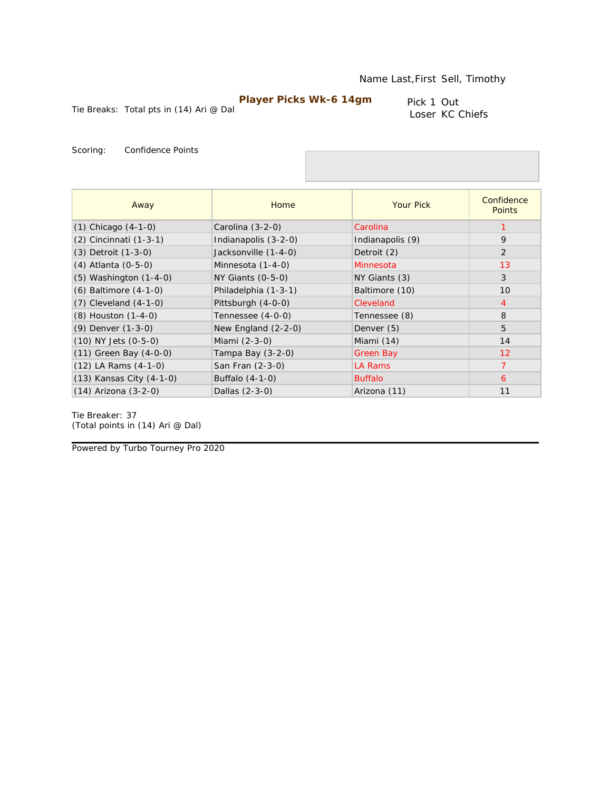Tie Breaks: Total pts in (14) Ari @ Dal

Pick 1 Out Loser KC Chiefs

Scoring: Confidence Points

| Away                       | Home                  | <b>Your Pick</b> | Confidence<br><b>Points</b> |
|----------------------------|-----------------------|------------------|-----------------------------|
| $(1)$ Chicago $(4-1-0)$    | Carolina $(3-2-0)$    | Carolina         |                             |
| (2) Cincinnati (1-3-1)     | Indianapolis (3-2-0)  | Indianapolis (9) | 9                           |
| (3) Detroit (1-3-0)        | Jacksonville (1-4-0)  | Detroit (2)      | 2                           |
| (4) Atlanta (0-5-0)        | Minnesota (1-4-0)     | Minnesota        | 13                          |
| $(5)$ Washington $(1-4-0)$ | $NY$ Giants $(0-5-0)$ | NY Giants (3)    | 3                           |
| $(6)$ Baltimore $(4-1-0)$  | Philadelphia (1-3-1)  | Baltimore (10)   | 10                          |
| $(7)$ Cleveland $(4-1-0)$  | Pittsburgh (4-0-0)    | Cleveland        | $\overline{4}$              |
| (8) Houston (1-4-0)        | Tennessee (4-0-0)     | Tennessee (8)    | 8                           |
| (9) Denver (1-3-0)         | New England $(2-2-0)$ | Denver (5)       | 5                           |
| $(10)$ NY Jets $(0-5-0)$   | Miami (2-3-0)         | Miami (14)       | 14                          |
| $(11)$ Green Bay $(4-0-0)$ | Tampa Bay (3-2-0)     | Green Bay        | 12                          |
| $(12)$ LA Rams $(4-1-0)$   | San Fran (2-3-0)      | LA Rams          | $\overline{7}$              |
| (13) Kansas City (4-1-0)   | Buffalo (4-1-0)       | <b>Buffalo</b>   | 6                           |
| $(14)$ Arizona $(3-2-0)$   | Dallas (2-3-0)        | Arizona (11)     | 11                          |

Tie Breaker: 37 *(Total points in (14) Ari @ Dal)*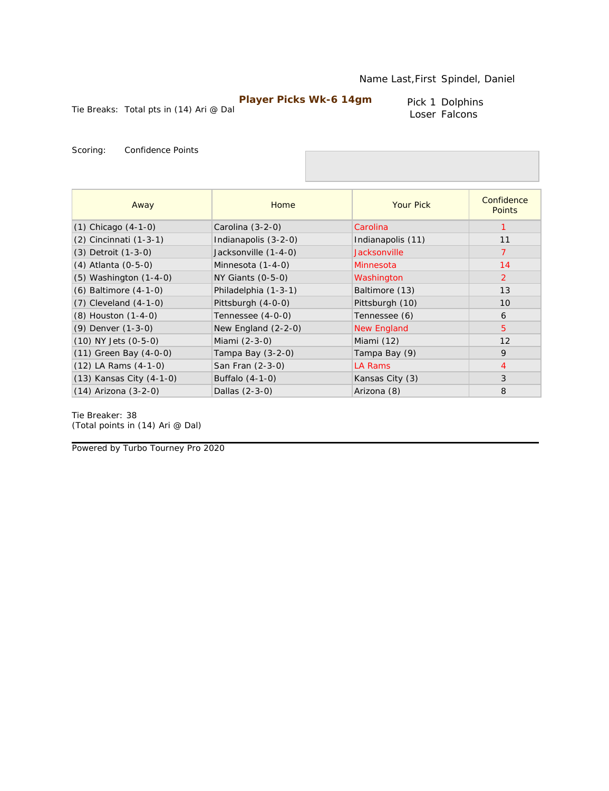Pick 1 Dolphins Loser Falcons

Tie Breaks: Total pts in (14) Ari @ Dal

Scoring: Confidence Points

| Away                       | Home                 | <b>Your Pick</b>   | Confidence<br><b>Points</b> |
|----------------------------|----------------------|--------------------|-----------------------------|
| $(1)$ Chicago $(4-1-0)$    | Carolina $(3-2-0)$   | Carolina           |                             |
| $(2)$ Cincinnati $(1-3-1)$ | Indianapolis (3-2-0) | Indianapolis (11)  | 11                          |
| $(3)$ Detroit $(1-3-0)$    | Jacksonville (1-4-0) | Jacksonville       |                             |
| (4) Atlanta (0-5-0)        | Minnesota (1-4-0)    | Minnesota          | 14                          |
| $(5)$ Washington $(1-4-0)$ | NY Giants (0-5-0)    | Washington         | 2                           |
| (6) Baltimore (4-1-0)      | Philadelphia (1-3-1) | Baltimore (13)     | 13                          |
| $(7)$ Cleveland $(4-1-0)$  | Pittsburgh (4-0-0)   | Pittsburgh (10)    | 10                          |
| (8) Houston (1-4-0)        | Tennessee (4-0-0)    | Tennessee (6)      | 6                           |
| (9) Denver (1-3-0)         | New England (2-2-0)  | <b>New England</b> | $\overline{5}$              |
| $(10)$ NY Jets $(0-5-0)$   | Miami (2-3-0)        | Miami (12)         | 12                          |
| (11) Green Bay (4-0-0)     | Tampa Bay (3-2-0)    | Tampa Bay (9)      | 9                           |
| $(12)$ LA Rams $(4-1-0)$   | San Fran (2-3-0)     | LA Rams            | $\overline{4}$              |
| (13) Kansas City (4-1-0)   | Buffalo (4-1-0)      | Kansas City (3)    | 3                           |
| $(14)$ Arizona $(3-2-0)$   | Dallas (2-3-0)       | Arizona (8)        | 8                           |

Tie Breaker: 38 *(Total points in (14) Ari @ Dal)*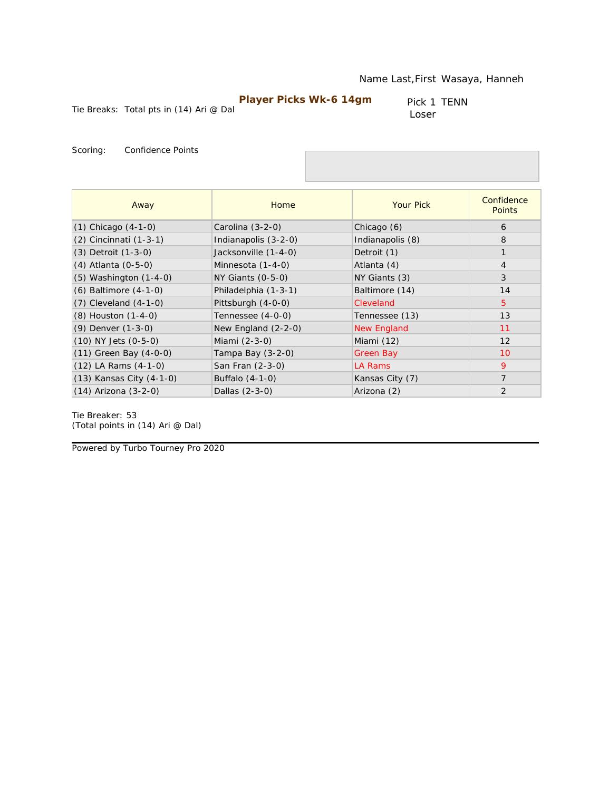Tie Breaks: Total pts in (14) Ari @ Dal

Pick 1 TENN Loser

Scoring: Confidence Points

| Away                       | Home                  | <b>Your Pick</b> | Confidence<br><b>Points</b> |
|----------------------------|-----------------------|------------------|-----------------------------|
| $(1)$ Chicago $(4-1-0)$    | Carolina (3-2-0)      | Chicago (6)      | 6                           |
| (2) Cincinnati (1-3-1)     | Indianapolis (3-2-0)  | Indianapolis (8) | 8                           |
| $(3)$ Detroit $(1-3-0)$    | Jacksonville (1-4-0)  | Detroit (1)      | $\mathbf{1}$                |
| (4) Atlanta (0-5-0)        | Minnesota (1-4-0)     | Atlanta (4)      | $\overline{4}$              |
| $(5)$ Washington $(1-4-0)$ | $NY$ Giants $(0-5-0)$ | NY Giants (3)    | 3                           |
| $(6)$ Baltimore $(4-1-0)$  | Philadelphia (1-3-1)  | Baltimore (14)   | 14                          |
| $(7)$ Cleveland $(4-1-0)$  | Pittsburgh (4-0-0)    | Cleveland        | $5^{\circ}$                 |
| (8) Houston (1-4-0)        | Tennessee (4-0-0)     | Tennessee (13)   | 13                          |
| (9) Denver (1-3-0)         | New England $(2-2-0)$ | New England      | 11                          |
| (10) NY Jets (0-5-0)       | Miami (2-3-0)         | Miami (12)       | 12                          |
| $(11)$ Green Bay $(4-0-0)$ | Tampa Bay $(3-2-0)$   | Green Bay        | 10                          |
| $(12)$ LA Rams $(4-1-0)$   | San Fran (2-3-0)      | LA Rams          | 9                           |
| (13) Kansas City (4-1-0)   | Buffalo (4-1-0)       | Kansas City (7)  | $\overline{7}$              |
| (14) Arizona (3-2-0)       | Dallas (2-3-0)        | Arizona (2)      | 2                           |

Tie Breaker: 53 *(Total points in (14) Ari @ Dal)*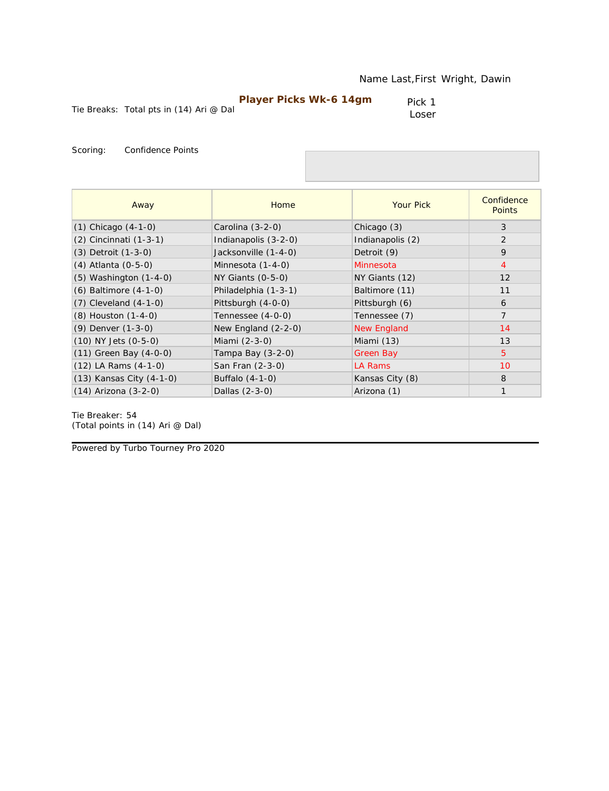| Player Picks Wk-6 14gm |  |
|------------------------|--|
|------------------------|--|

Pick 1 Loser

Scoring: Confidence Points

| Away                       | <b>Home</b>           | <b>Your Pick</b>   | Confidence<br><b>Points</b> |
|----------------------------|-----------------------|--------------------|-----------------------------|
| $(1)$ Chicago $(4-1-0)$    | Carolina (3-2-0)      | Chicago (3)        | 3                           |
| (2) Cincinnati (1-3-1)     | Indianapolis (3-2-0)  | Indianapolis (2)   | 2                           |
| (3) Detroit (1-3-0)        | Jacksonville (1-4-0)  | Detroit (9)        | 9                           |
| (4) Atlanta (0-5-0)        | Minnesota (1-4-0)     | Minnesota          | $\overline{4}$              |
| $(5)$ Washington $(1-4-0)$ | $NY$ Giants $(0-5-0)$ | NY Giants (12)     | 12                          |
| $(6)$ Baltimore $(4-1-0)$  | Philadelphia (1-3-1)  | Baltimore (11)     | 11                          |
| $(7)$ Cleveland $(4-1-0)$  | Pittsburgh (4-0-0)    | Pittsburgh (6)     | 6                           |
| (8) Houston (1-4-0)        | Tennessee (4-0-0)     | Tennessee (7)      | $\overline{7}$              |
| (9) Denver (1-3-0)         | New England $(2-2-0)$ | <b>New England</b> | 14                          |
| $(10)$ NY Jets $(0-5-0)$   | Miami (2-3-0)         | Miami (13)         | 13                          |
| $(11)$ Green Bay $(4-0-0)$ | Tampa Bay (3-2-0)     | Green Bay          | 5                           |
| $(12)$ LA Rams $(4-1-0)$   | San Fran (2-3-0)      | LA Rams            | 10                          |
| (13) Kansas City (4-1-0)   | Buffalo (4-1-0)       | Kansas City (8)    | 8                           |
| $(14)$ Arizona $(3-2-0)$   | Dallas (2-3-0)        | Arizona (1)        | $\mathbf{1}$                |

Tie Breaker: 54 *(Total points in (14) Ari @ Dal)*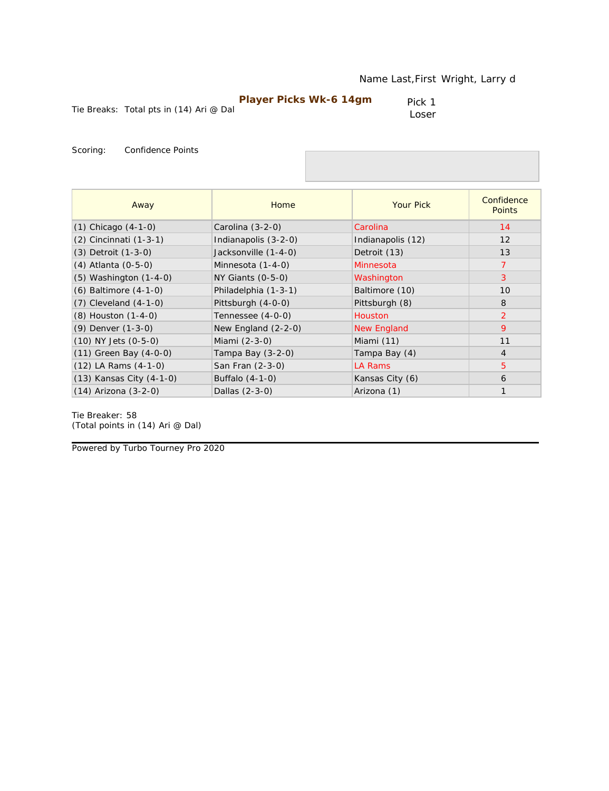| <b>Player Picks Wk-6 14gm</b> |
|-------------------------------|
|-------------------------------|

Pick 1 Loser

Scoring: Confidence Points

| Away                       | Home                  | <b>Your Pick</b>   | Confidence<br><b>Points</b> |
|----------------------------|-----------------------|--------------------|-----------------------------|
| $(1)$ Chicago $(4-1-0)$    | Carolina (3-2-0)      | Carolina           | 14                          |
| (2) Cincinnati (1-3-1)     | Indianapolis (3-2-0)  | Indianapolis (12)  | 12                          |
| (3) Detroit (1-3-0)        | Jacksonville (1-4-0)  | Detroit (13)       | 13                          |
| (4) Atlanta (0-5-0)        | Minnesota (1-4-0)     | Minnesota          | $\overline{7}$              |
| (5) Washington (1-4-0)     | $NY$ Giants $(0-5-0)$ | Washington         | 3                           |
| (6) Baltimore (4-1-0)      | Philadelphia (1-3-1)  | Baltimore (10)     | 10                          |
| $(7)$ Cleveland $(4-1-0)$  | Pittsburgh (4-0-0)    | Pittsburgh (8)     | 8                           |
| (8) Houston (1-4-0)        | Tennessee (4-0-0)     | <b>Houston</b>     | $\overline{2}$              |
| (9) Denver (1-3-0)         | New England $(2-2-0)$ | <b>New England</b> | 9                           |
| (10) NY Jets (0-5-0)       | Miami (2-3-0)         | Miami (11)         | 11                          |
| $(11)$ Green Bay $(4-0-0)$ | Tampa Bay (3-2-0)     | Tampa Bay (4)      | $\overline{4}$              |
| $(12)$ LA Rams $(4-1-0)$   | San Fran (2-3-0)      | <b>LA Rams</b>     | 5                           |
| (13) Kansas City (4-1-0)   | Buffalo (4-1-0)       | Kansas City (6)    | 6                           |
| $(14)$ Arizona $(3-2-0)$   | Dallas (2-3-0)        | Arizona (1)        | $\mathbf{1}$                |

Tie Breaker: 58 *(Total points in (14) Ari @ Dal)*